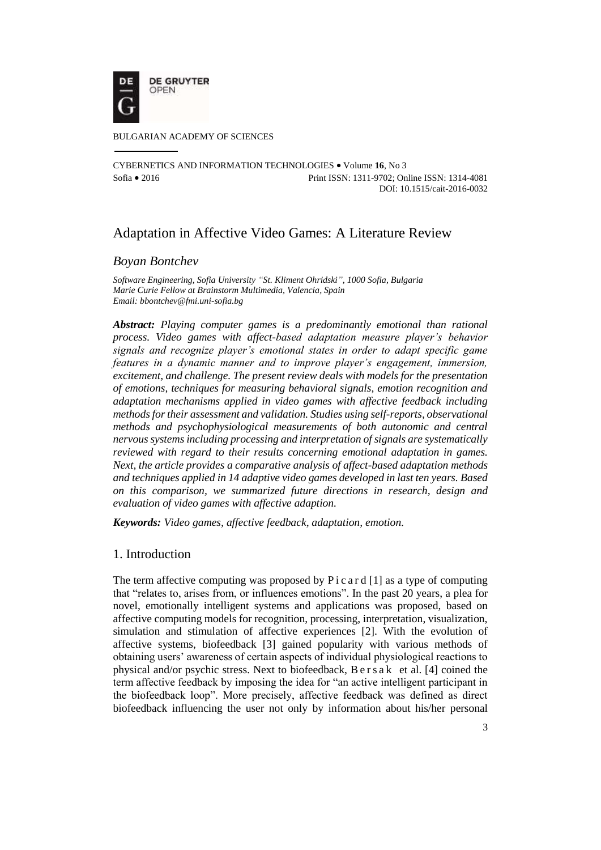

BULGARIAN ACADEMY OF SCIENCES

CYBERNETICS AND INFORMATION TECHNOLOGIES Volume **16**, No 3 Sofia • 2016 **Print ISSN: 1311-9702**; Online ISSN: 1314-4081 DOI: 10.1515/cait-2016-0032

# Adaptation in Affective Video Games: A Literature Review

# *Boyan Bontchev*

*Software Engineering, Sofia University "St. Kliment Ohridski", 1000 Sofia, Bulgaria Marie Curie Fellow at Brainstorm Multimedia, Valencia, Spain Email: bbontchev@fmi.uni-sofia.bg*

*Abstract: Playing computer games is a predominantly emotional than rational process. Video games with affect-based adaptation measure player's behavior signals and recognize player's emotional states in order to adapt specific game features in a dynamic manner and to improve player's engagement, immersion, excitement, and challenge. The present review deals with models for the presentation of emotions, techniques for measuring behavioral signals, emotion recognition and adaptation mechanisms applied in video games with affective feedback including methods for their assessment and validation. Studies using self-reports, observational methods and psychophysiological measurements of both autonomic and central nervous systems including processing and interpretation of signals are systematically reviewed with regard to their results concerning emotional adaptation in games. Next, the article provides a comparative analysis of affect-based adaptation methods and techniques applied in 14 adaptive video games developed in last ten years. Based on this comparison, we summarized future directions in research, design and evaluation of video games with affective adaption.*

*Keywords: Video games, affective feedback, adaptation, emotion.*

# 1. Introduction

The term affective computing was proposed by  $P$  i c a r d [1] as a type of computing that "relates to, arises from, or influences emotions". In the past 20 years, a plea for novel, emotionally intelligent systems and applications was proposed, based on affective computing models for recognition, processing, interpretation, visualization, simulation and stimulation of affective experiences [2]. With the evolution of affective systems, biofeedback [3] gained popularity with various methods of obtaining users' awareness of certain aspects of individual physiological reactions to physical and/or psychic stress. Next to biofeedback, B e r s a k et al. [4] coined the term affective feedback by imposing the idea for "an active intelligent participant in the biofeedback loop". More precisely, affective feedback was defined as direct biofeedback influencing the user not only by information about his/her personal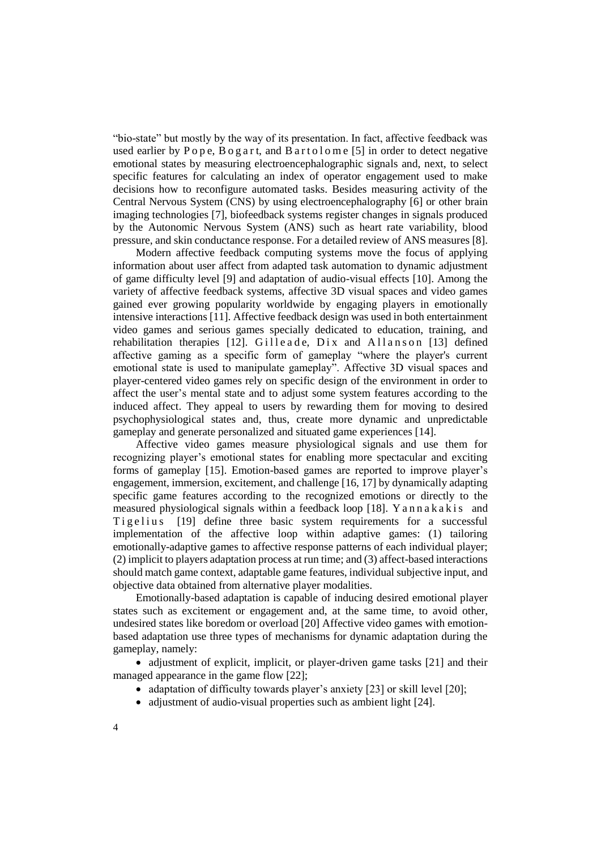"bio-state" but mostly by the way of its presentation. In fact, affective feedback was used earlier by P o p e,  $B \text{o} g$  a r t, and  $B$  a r t  $o$  l o m e [5] in order to detect negative emotional states by measuring electroencephalographic signals and, next, to select specific features for calculating an index of operator engagement used to make decisions how to reconfigure automated tasks. Besides measuring activity of the Central Nervous System (CNS) by using electroencephalography [6] or other brain imaging technologies [7], biofeedback systems register changes in signals produced by the Autonomic Nervous System (ANS) such as heart rate variability, blood pressure, and skin conductance response. For a detailed review of ANS measures [8].

Modern affective feedback computing systems move the focus of applying information about user affect from adapted task automation to dynamic adjustment of game difficulty level [9] and adaptation of audio-visual effects [10]. Among the variety of affective feedback systems, affective 3D visual spaces and video games gained ever growing popularity worldwide by engaging players in emotionally intensive interactions [11]. Affective feedback design was used in both entertainment video games and serious games specially dedicated to education, training, and rehabilitation therapies  $[12]$ . Gilleade, Dix and Allanson  $[13]$  defined affective gaming as a specific form of gameplay "where the player's current emotional state is used to manipulate gameplay". Affective 3D visual spaces and player-centered video games rely on specific design of the environment in order to affect the user's mental state and to adjust some system features according to the induced affect. They appeal to users by rewarding them for moving to desired psychophysiological states and, thus, create more dynamic and unpredictable gameplay and generate personalized and situated game experiences [14].

Affective video games measure physiological signals and use them for recognizing player's emotional states for enabling more spectacular and exciting forms of gameplay [15]. Emotion-based games are reported to improve player's engagement, immersion, excitement, and challenge [16, 17] by dynamically adapting specific game features according to the recognized emotions or directly to the measured physiological signals within a feedback loop [18]. Y a n n a k a k i s and Tigelius [19] define three basic system requirements for a successful implementation of the affective loop within adaptive games: (1) tailoring emotionally-adaptive games to affective response patterns of each individual player; (2) implicit to players adaptation process at run time; and (3) affect-based interactions should match game context, adaptable game features, individual subjective input, and objective data obtained from alternative player modalities.

Emotionally-based adaptation is capable of inducing desired emotional player states such as excitement or engagement and, at the same time, to avoid other, undesired states like boredom or overload [20] Affective video games with emotionbased adaptation use three types of mechanisms for dynamic adaptation during the gameplay, namely:

• adjustment of explicit, implicit, or player-driven game tasks  $[21]$  and their managed appearance in the game flow [22];

- adaptation of difficulty towards player's anxiety  $[23]$  or skill level  $[20]$ ;
- adjustment of audio-visual properties such as ambient light [24].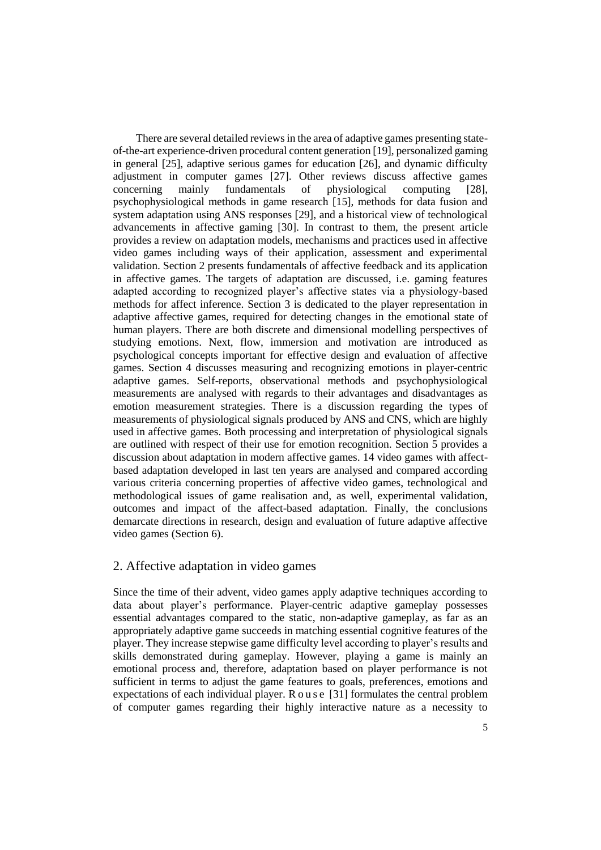There are several detailed reviews in the area of adaptive games presenting stateof-the-art experience-driven procedural content generation [19], personalized gaming in general [25], adaptive serious games for education [26], and dynamic difficulty adjustment in computer games [27]. Other reviews discuss affective games concerning mainly fundamentals of physiological computing [28], psychophysiological methods in game research [15], methods for data fusion and system adaptation using ANS responses [29], and a historical view of technological advancements in affective gaming [30]. In contrast to them, the present article provides a review on adaptation models, mechanisms and practices used in affective video games including ways of their application, assessment and experimental validation. Section 2 presents fundamentals of affective feedback and its application in affective games. The targets of adaptation are discussed, i.e. gaming features adapted according to recognized player's affective states via a physiology-based methods for affect inference. Section 3 is dedicated to the player representation in adaptive affective games, required for detecting changes in the emotional state of human players. There are both discrete and dimensional modelling perspectives of studying emotions. Next, flow, immersion and motivation are introduced as psychological concepts important for effective design and evaluation of affective games. Section 4 discusses measuring and recognizing emotions in player-centric adaptive games. Self-reports, observational methods and psychophysiological measurements are analysed with regards to their advantages and disadvantages as emotion measurement strategies. There is a discussion regarding the types of measurements of physiological signals produced by ANS and CNS, which are highly used in affective games. Both processing and interpretation of physiological signals are outlined with respect of their use for emotion recognition. Section 5 provides a discussion about adaptation in modern affective games. 14 video games with affectbased adaptation developed in last ten years are analysed and compared according various criteria concerning properties of affective video games, technological and methodological issues of game realisation and, as well, experimental validation, outcomes and impact of the affect-based adaptation. Finally, the conclusions demarcate directions in research, design and evaluation of future adaptive affective video games (Section 6).

# 2. Affective adaptation in video games

Since the time of their advent, video games apply adaptive techniques according to data about player's performance. Player-centric adaptive gameplay possesses essential advantages compared to the static, non-adaptive gameplay, as far as an appropriately adaptive game succeeds in matching essential cognitive features of the player. They increase stepwise game difficulty level according to player's results and skills demonstrated during gameplay. However, playing a game is mainly an emotional process and, therefore, adaptation based on player performance is not sufficient in terms to adjust the game features to goals, preferences, emotions and expectations of each individual player. R o u s e [31] formulates the central problem of computer games regarding their highly interactive nature as a necessity to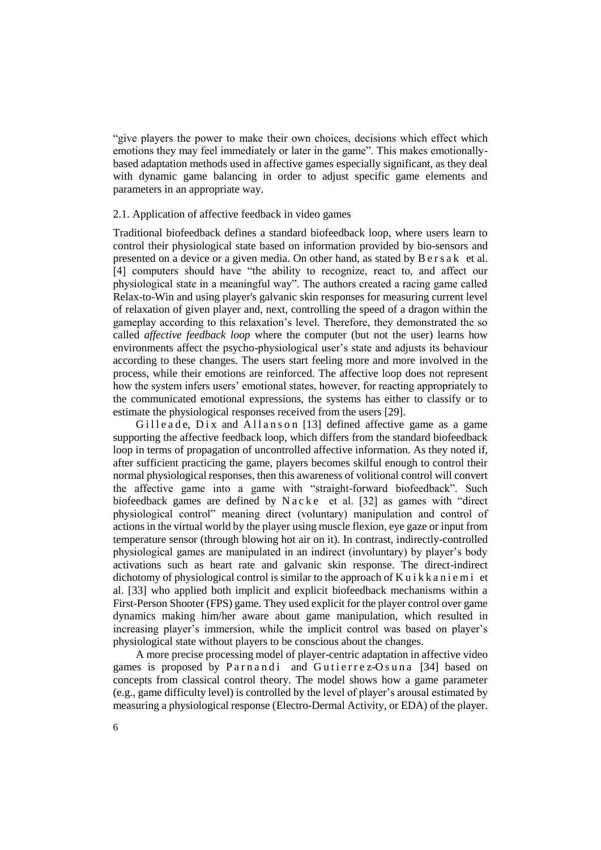"give players the power to make their own choices, decisions which effect which emotions they may feel immediately or later in the game". This makes emotionallybased adaptation methods used in affective games especially significant, as they deal with dynamic game balancing in order to adjust specific game elements and parameters in an appropriate way.

### 2.1. Application of affective feedback in video games

Traditional biofeedback defines a standard biofeedback loop, where users learn to control their physiological state based on information provided by bio-sensors and presented on a device or a given media. On other hand, as stated by B e r s a k et al. [4] computers should have "the ability to recognize, react to, and affect our physiological state in a meaningful way". The authors created a racing game called Relax-to-Win and using player's galvanic skin responses for measuring current level of relaxation of given player and, next, controlling the speed of a dragon within the gameplay according to this relaxation's level. Therefore, they demonstrated the so called *affective feedback loop* where the computer (but not the user) learns how environments affect the psycho-physiological user's state and adjusts its behaviour according to these changes. The users start feeling more and more involved in the process, while their emotions are reinforced. The affective loop does not represent how the system infers users' emotional states, however, for reacting appropriately to the communicated emotional expressions, the systems has either to classify or to estimate the physiological responses received from the users [29].

Gilleade,  $D$ ix and Allanson [13] defined affective game as a game supporting the affective feedback loop, which differs from the standard biofeedback loop in terms of propagation of uncontrolled affective information. As they noted if, after sufficient practicing the game, players becomes skilful enough to control their normal physiological responses, then this awareness of volitional control will convert the affective game into a game with "straight-forward biofeedback". Such biofeedback games are defined by  $N$  a c k e et al. [32] as games with "direct physiological control" meaning direct (voluntary) manipulation and control of actions in the virtual world by the player using muscle flexion, eye gaze or input from temperature sensor (through blowing hot air on it). In contrast, indirectly-controlled physiological games are manipulated in an indirect (involuntary) by player's body activations such as heart rate and galvanic skin response. The direct-indirect dichotomy of physiological control is similar to the approach of K u i k k a n i e m i et al. [33] who applied both implicit and explicit biofeedback mechanisms within a First-Person Shooter (FPS) game. They used explicit for the player control over game dynamics making him/her aware about game manipulation, which resulted in increasing player's immersion, while the implicit control was based on player's physiological state without players to be conscious about the changes.

A more precise processing model of player-centric adaptation in affective video games is proposed by Parnandi and Gutierrez-Osuna [34] based on concepts from classical control theory. The model shows how a game parameter (e.g., game difficulty level) is controlled by the level of player's arousal estimated by measuring a physiological response (Electro-Dermal Activity, or EDA) of the player.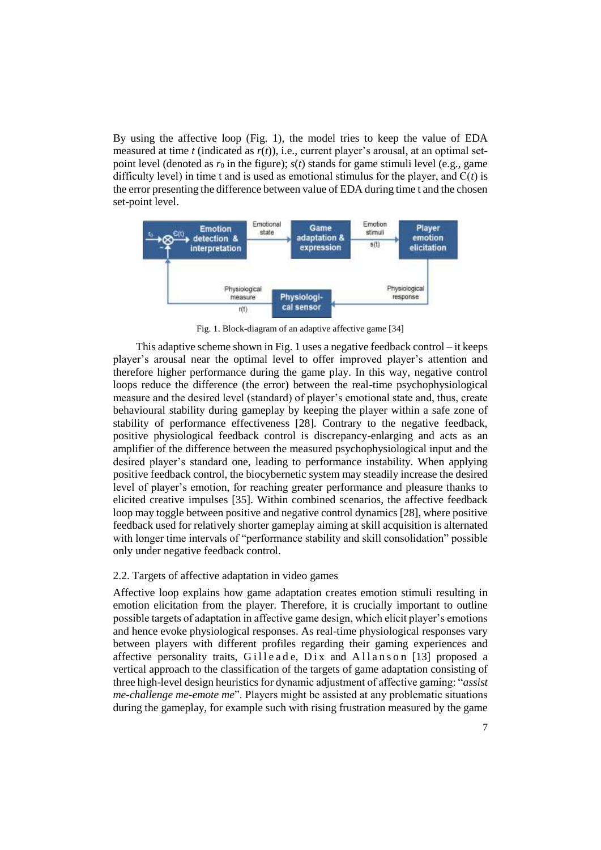By using the affective loop (Fig. 1), the model tries to keep the value of EDA measured at time *t* (indicated as *r*(*t*)), i.e., current player's arousal, at an optimal setpoint level (denoted as  $r_0$  in the figure);  $s(t)$  stands for game stimuli level (e.g., game difficulty level) in time t and is used as emotional stimulus for the player, and  $E(t)$  is the error presenting the difference between value of EDA during time t and the chosen set-point level.



Fig. 1. Block-diagram of an adaptive affective game [34]

This adaptive scheme shown in Fig. 1 uses a negative feedback control – it keeps player's arousal near the optimal level to offer improved player's attention and therefore higher performance during the game play. In this way, negative control loops reduce the difference (the error) between the real-time psychophysiological measure and the desired level (standard) of player's emotional state and, thus, create behavioural stability during gameplay by keeping the player within a safe zone of stability of performance effectiveness [28]. Contrary to the negative feedback, positive physiological feedback control is discrepancy-enlarging and acts as an amplifier of the difference between the measured psychophysiological input and the desired player's standard one, leading to performance instability. When applying positive feedback control, the biocybernetic system may steadily increase the desired level of player's emotion, for reaching greater performance and pleasure thanks to elicited creative impulses [35]. Within combined scenarios, the affective feedback loop may toggle between positive and negative control dynamics [28], where positive feedback used for relatively shorter gameplay aiming at skill acquisition is alternated with longer time intervals of "performance stability and skill consolidation" possible only under negative feedback control.

# 2.2. Targets of affective adaptation in video games

Affective loop explains how game adaptation creates emotion stimuli resulting in emotion elicitation from the player. Therefore, it is crucially important to outline possible targets of adaptation in affective game design, which elicit player's emotions and hence evoke physiological responses. As real-time physiological responses vary between players with different profiles regarding their gaming experiences and affective personality traits, Gilleade, Dix and Allanson [13] proposed a vertical approach to the classification of the targets of game adaptation consisting of three high-level design heuristics for dynamic adjustment of affective gaming: "*assist me-challenge me-emote me*". Players might be assisted at any problematic situations during the gameplay, for example such with rising frustration measured by the game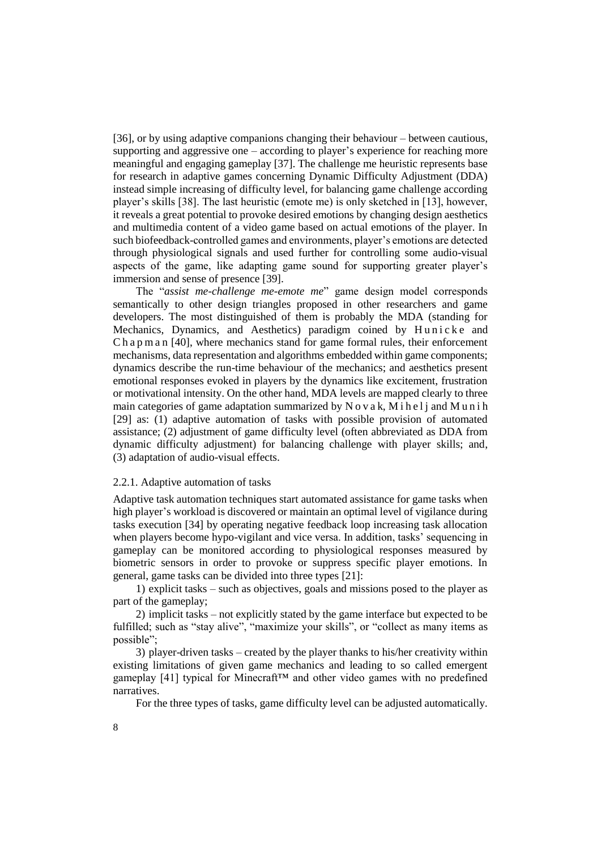[36], or by using adaptive companions changing their behaviour – between cautious, supporting and aggressive one – according to player's experience for reaching more meaningful and engaging gameplay [37]. The challenge me heuristic represents base for research in adaptive games concerning Dynamic Difficulty Adjustment (DDA) instead simple increasing of difficulty level, for balancing game challenge according player's skills [38]. The last heuristic (emote me) is only sketched in [13], however, it reveals a great potential to provoke desired emotions by changing design aesthetics and multimedia content of a video game based on actual emotions of the player. In such biofeedback-controlled games and environments, player's emotions are detected through physiological signals and used further for controlling some audio-visual aspects of the game, like adapting game sound for supporting greater player's immersion and sense of presence [39].

The "*assist me-challenge me-emote me*" game design model corresponds semantically to other design triangles proposed in other researchers and game developers. The most distinguished of them is probably the MDA (standing for Mechanics, Dynamics, and Aesthetics) paradigm coined by Hunicke and C h a p m a n [40], where mechanics stand for game formal rules, their enforcement mechanisms, data representation and algorithms embedded within game components; dynamics describe the run-time behaviour of the mechanics; and aesthetics present emotional responses evoked in players by the dynamics like excitement, frustration or motivational intensity. On the other hand, MDA levels are mapped clearly to three main categories of game adaptation summarized by  $N$  o v a k, M i h e l j and M u n i h [29] as: (1) adaptive automation of tasks with possible provision of automated assistance; (2) adjustment of game difficulty level (often abbreviated as DDA from dynamic difficulty adjustment) for balancing challenge with player skills; and, (3) adaptation of audio-visual effects.

### 2.2.1. Adaptive automation of tasks

Adaptive task automation techniques start automated assistance for game tasks when high player's workload is discovered or maintain an optimal level of vigilance during tasks execution [34] by operating negative feedback loop increasing task allocation when players become hypo-vigilant and vice versa. In addition, tasks' sequencing in gameplay can be monitored according to physiological responses measured by biometric sensors in order to provoke or suppress specific player emotions. In general, game tasks can be divided into three types [21]:

1) explicit tasks – such as objectives, goals and missions posed to the player as part of the gameplay;

2) implicit tasks – not explicitly stated by the game interface but expected to be fulfilled; such as "stay alive", "maximize your skills", or "collect as many items as possible";

3) player-driven tasks – created by the player thanks to his/her creativity within existing limitations of given game mechanics and leading to so called emergent gameplay [41] typical for Minecraft™ and other video games with no predefined narratives.

For the three types of tasks, game difficulty level can be adjusted automatically.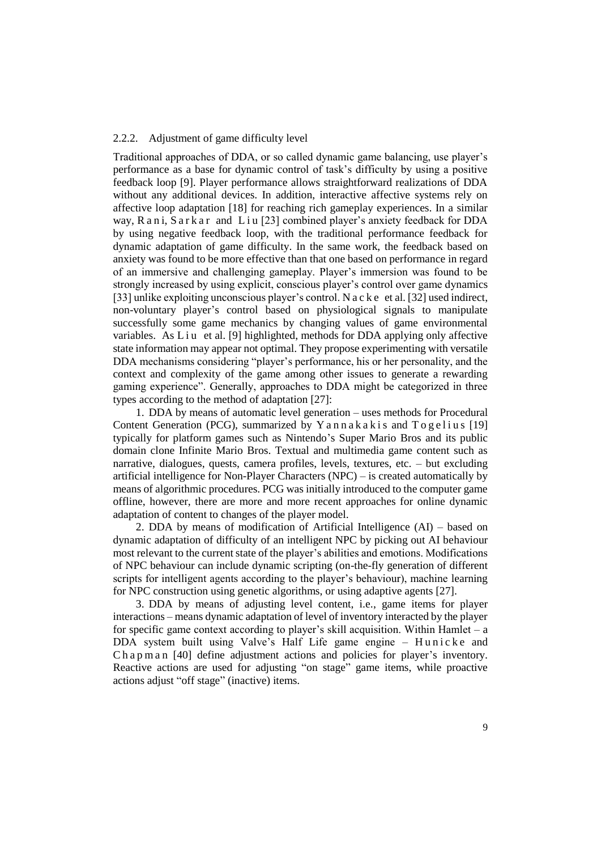### 2.2.2. Adjustment of game difficulty level

Traditional approaches of DDA, or so called dynamic game balancing, use player's performance as a base for dynamic control of task's difficulty by using a positive feedback loop [9]. Player performance allows straightforward realizations of DDA without any additional devices. In addition, interactive affective systems rely on affective loop adaptation [18] for reaching rich gameplay experiences. In a similar way,  $\text{R}$  a n i,  $\text{S}$  a r k a r and L i u [23] combined player's anxiety feedback for DDA by using negative feedback loop, with the traditional performance feedback for dynamic adaptation of game difficulty. In the same work, the feedback based on anxiety was found to be more effective than that one based on performance in regard of an immersive and challenging gameplay. Player's immersion was found to be strongly increased by using explicit, conscious player's control over game dynamics [33] unlike exploiting unconscious player's control. N a c k e et al. [32] used indirect, non-voluntary player's control based on physiological signals to manipulate successfully some game mechanics by changing values of game environmental variables. As L i u et al. [9] highlighted, methods for DDA applying only affective state information may appear not optimal. They propose experimenting with versatile DDA mechanisms considering "player's performance, his or her personality, and the context and complexity of the game among other issues to generate a rewarding gaming experience". Generally, approaches to DDA might be categorized in three types according to the method of adaptation [27]:

1. DDA by means of automatic level generation – uses methods for Procedural Content Generation (PCG), summarized by Y a n n a k a k i s and  $T$  o g e l i u s [19] typically for platform games such as Nintendo's Super Mario Bros and its public domain clone Infinite Mario Bros. Textual and multimedia game content such as narrative, dialogues, quests, camera profiles, levels, textures, etc. – but excluding artificial intelligence for Non-Player Characters (NPC) – is created automatically by means of algorithmic procedures. PCG was initially introduced to the computer game offline, however, there are more and more recent approaches for online dynamic adaptation of content to changes of the player model.

2. DDA by means of modification of Artificial Intelligence (AI) – based on dynamic adaptation of difficulty of an intelligent NPC by picking out AI behaviour most relevant to the current state of the player's abilities and emotions. Modifications of NPC behaviour can include dynamic scripting (on-the-fly generation of different scripts for intelligent agents according to the player's behaviour), machine learning for NPC construction using genetic algorithms, or using adaptive agents [27].

3. DDA by means of adjusting level content, i.e., game items for player interactions – means dynamic adaptation of level of inventory interacted by the player for specific game context according to player's skill acquisition. Within Hamlet – a DDA system built using Valve's Half Life game engine – Hunicke and Ch a p m a n [40] define adjustment actions and policies for player's inventory. Reactive actions are used for adjusting "on stage" game items, while proactive actions adjust "off stage" (inactive) items.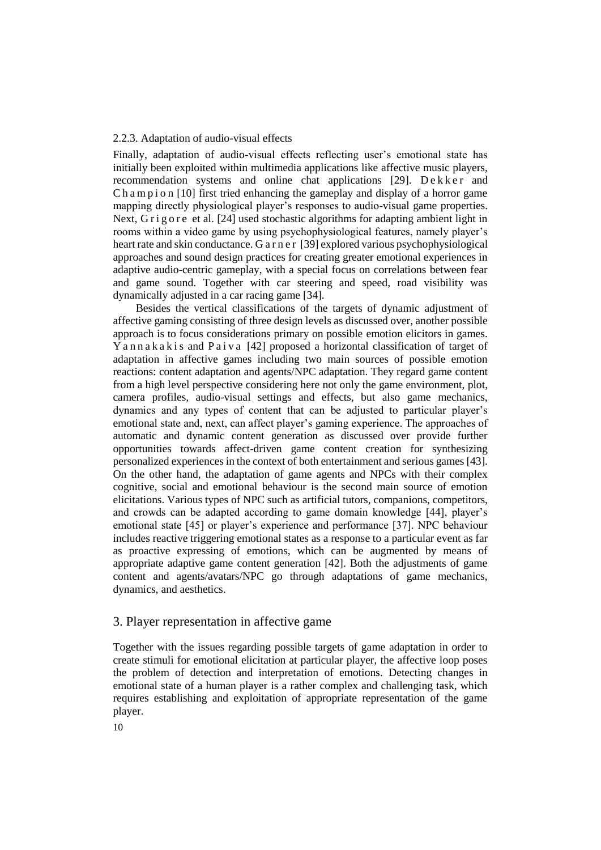### 2.2.3. Adaptation of audio-visual effects

Finally, adaptation of audio-visual effects reflecting user's emotional state has initially been exploited within multimedia applications like affective music players, recommendation systems and online chat applications [29]. De k k e r and Ch a m p i o n [10] first tried enhancing the gameplay and display of a horror game mapping directly physiological player's responses to audio-visual game properties. Next, G r i g o r e et al. [24] used stochastic algorithms for adapting ambient light in rooms within a video game by using psychophysiological features, namely player's heart rate and skin conductance. G a r n e r [39] explored various psychophysiological approaches and sound design practices for creating greater emotional experiences in adaptive audio-centric gameplay, with a special focus on correlations between fear and game sound. Together with car steering and speed, road visibility was dynamically adjusted in a car racing game [34].

Besides the vertical classifications of the targets of dynamic adjustment of affective gaming consisting of three design levels as discussed over, another possible approach is to focus considerations primary on possible emotion elicitors in games. Y annakakis and Paiva [42] proposed a horizontal classification of target of adaptation in affective games including two main sources of possible emotion reactions: content adaptation and agents/NPC adaptation. They regard game content from a high level perspective considering here not only the game environment, plot, camera profiles, audio-visual settings and effects, but also game mechanics, dynamics and any types of content that can be adjusted to particular player's emotional state and, next, can affect player's gaming experience. The approaches of automatic and dynamic content generation as discussed over provide further opportunities towards affect-driven game content creation for synthesizing personalized experiences in the context of both entertainment and serious games [43]. On the other hand, the adaptation of game agents and NPCs with their complex cognitive, social and emotional behaviour is the second main source of emotion elicitations. Various types of NPC such as artificial tutors, companions, competitors, and crowds can be adapted according to game domain knowledge [44], player's emotional state [45] or player's experience and performance [37]. NPC behaviour includes reactive triggering emotional states as a response to a particular event as far as proactive expressing of emotions, which can be augmented by means of appropriate adaptive game content generation [42]. Both the adjustments of game content and agents/avatars/NPC go through adaptations of game mechanics, dynamics, and aesthetics.

# 3. Player representation in affective game

Together with the issues regarding possible targets of game adaptation in order to create stimuli for emotional elicitation at particular player, the affective loop poses the problem of detection and interpretation of emotions. Detecting changes in emotional state of a human player is a rather complex and challenging task, which requires establishing and exploitation of appropriate representation of the game player.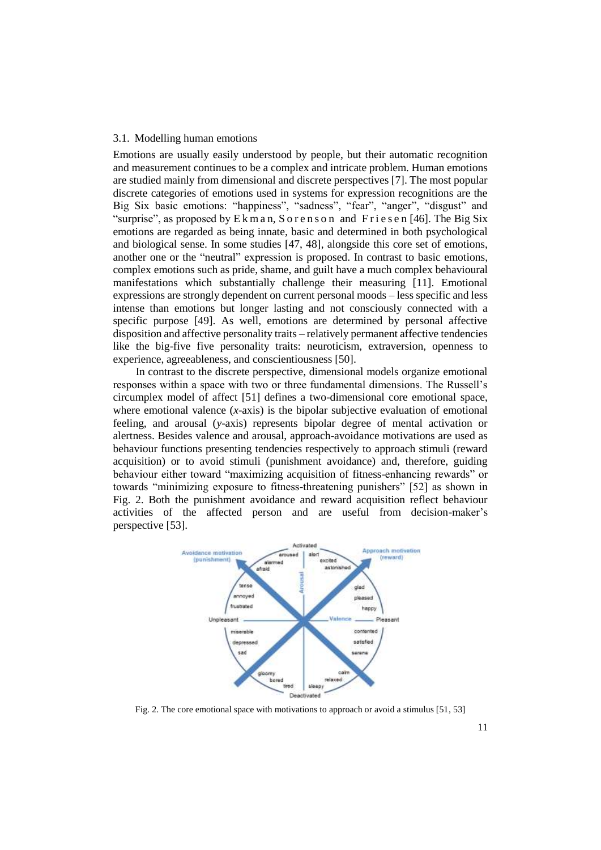### 3.1. Modelling human emotions

Emotions are usually easily understood by people, but their automatic recognition and measurement continues to be a complex and intricate problem. Human emotions are studied mainly from dimensional and discrete perspectives [7]. The most popular discrete categories of emotions used in systems for expression recognitions are the Big Six basic emotions: "happiness", "sadness", "fear", "anger", "disgust" and "surprise", as proposed by  $E k$  m a n, S o r e n s o n and  $F$  r i e s e n [46]. The Big Six emotions are regarded as being innate, basic and determined in both psychological and biological sense. In some studies [47, 48], alongside this core set of emotions, another one or the "neutral" expression is proposed. In contrast to basic emotions, complex emotions such as pride, shame, and guilt have a much complex behavioural manifestations which substantially challenge their measuring [11]. Emotional expressions are strongly dependent on current personal moods – less specific and less intense than emotions but longer lasting and not consciously connected with a specific purpose [49]. As well, emotions are determined by personal affective disposition and affective personality traits – relatively permanent affective tendencies like the big-five five personality traits: neuroticism, extraversion, openness to experience, agreeableness, and conscientiousness [50].

In contrast to the discrete perspective, dimensional models organize emotional responses within a space with two or three fundamental dimensions. The Russell's circumplex model of affect [51] defines a two-dimensional core emotional space, where emotional valence  $(x-axis)$  is the bipolar subjective evaluation of emotional feeling, and arousal (*y*-axis) represents bipolar degree of mental activation or alertness. Besides valence and arousal, approach-avoidance motivations are used as behaviour functions presenting tendencies respectively to approach stimuli (reward acquisition) or to avoid stimuli (punishment avoidance) and, therefore, guiding behaviour either toward "maximizing acquisition of fitness-enhancing rewards" or towards "minimizing exposure to fitness-threatening punishers" [52] as shown in Fig. 2. Both the punishment avoidance and reward acquisition reflect behaviour activities of the affected person and are useful from decision-maker's perspective [53].



Fig. 2. The core emotional space with motivations to approach or avoid a stimulus [51, 53]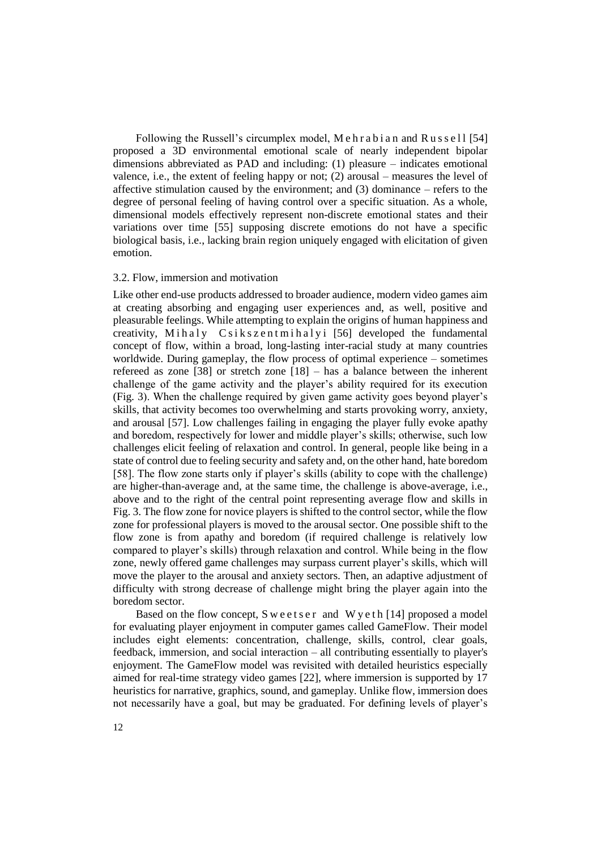Following the Russell's circumplex model,  $M \in h \cap h$  and  $R \cup s \in l$  [54] proposed a 3D environmental emotional scale of nearly independent bipolar dimensions abbreviated as PAD and including: (1) pleasure – indicates emotional valence, i.e., the extent of feeling happy or not; (2) arousal – measures the level of affective stimulation caused by the environment; and (3) dominance – refers to the degree of personal feeling of having control over a specific situation. As a whole, dimensional models effectively represent non-discrete emotional states and their variations over time [55] supposing discrete emotions do not have a specific biological basis, i.e., lacking brain region uniquely engaged with elicitation of given emotion.

#### 3.2. Flow, immersion and motivation

Like other end-use products addressed to broader audience, modern video games aim at creating absorbing and engaging user experiences and, as well, positive and pleasurable feelings. While attempting to explain the origins of human happiness and creativity, Mihaly  $C s i k s z en t m i h a l v i$  [56] developed the fundamental concept of flow, within a broad, long-lasting inter-racial study at many countries worldwide. During gameplay, the flow process of optimal experience – sometimes refereed as zone [38] or stretch zone [18] – has a balance between the inherent challenge of the game activity and the player's ability required for its execution (Fig. 3). When the challenge required by given game activity goes beyond player's skills, that activity becomes too overwhelming and starts provoking worry, anxiety, and arousal [57]. Low challenges failing in engaging the player fully evoke apathy and boredom, respectively for lower and middle player's skills; otherwise, such low challenges elicit feeling of relaxation and control. In general, people like being in a state of control due to feeling security and safety and, on the other hand, hate boredom [58]. The flow zone starts only if player's skills (ability to cope with the challenge) are higher-than-average and, at the same time, the challenge is above-average, i.e., above and to the right of the central point representing average flow and skills in Fig. 3. The flow zone for novice players is shifted to the control sector, while the flow zone for professional players is moved to the arousal sector. One possible shift to the flow zone is from apathy and boredom (if required challenge is relatively low compared to player's skills) through relaxation and control. While being in the flow zone, newly offered game challenges may surpass current player's skills, which will move the player to the arousal and anxiety sectors. Then, an adaptive adjustment of difficulty with strong decrease of challenge might bring the player again into the boredom sector.

Based on the flow concept, S w e etser and W y e th [14] proposed a model for evaluating player enjoyment in computer games called GameFlow. Their model includes eight elements: concentration, challenge, skills, control, clear goals, feedback, immersion, and social interaction – all contributing essentially to player's enjoyment. The GameFlow model was revisited with detailed heuristics especially aimed for real-time strategy video games [22], where immersion is supported by 17 heuristics for narrative, graphics, sound, and gameplay. Unlike flow, immersion does not necessarily have a goal, but may be graduated. For defining levels of player's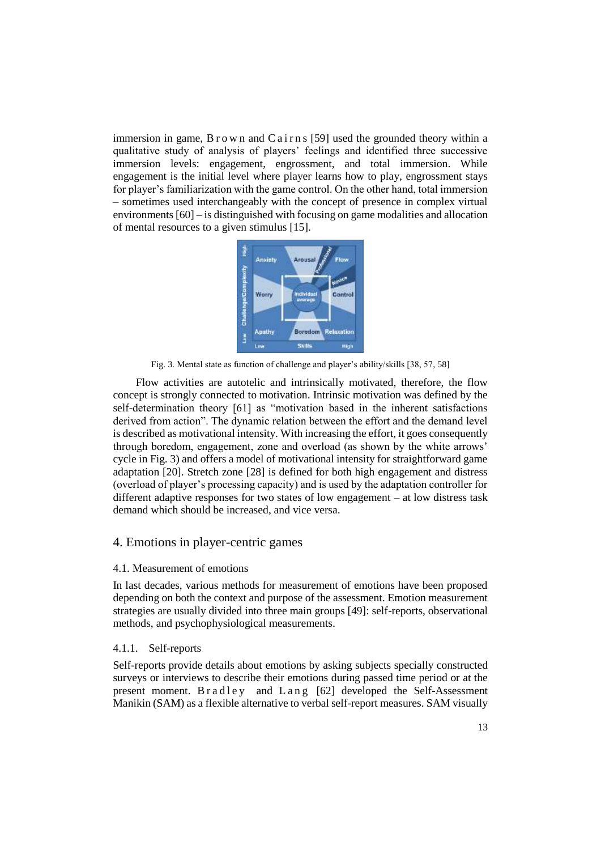immersion in game,  $B \, \text{row}$  n and  $C \, \text{air}$  n s [59] used the grounded theory within a qualitative study of analysis of players' feelings and identified three successive immersion levels: engagement, engrossment, and total immersion. While engagement is the initial level where player learns how to play, engrossment stays for player's familiarization with the game control. On the other hand, total immersion – sometimes used interchangeably with the concept of presence in complex virtual environments [60] – is distinguished with focusing on game modalities and allocation of mental resources to a given stimulus [15].



Fig. 3. Mental state as function of challenge and player's ability/skills [38, 57, 58]

Flow activities are autotelic and intrinsically motivated, therefore, the flow concept is strongly connected to motivation. Intrinsic motivation was defined by the self-determination theory [61] as "motivation based in the inherent satisfactions derived from action". The dynamic relation between the effort and the demand level is described as motivational intensity. With increasing the effort, it goes consequently through boredom, engagement, zone and overload (as shown by the white arrows' cycle in Fig. 3) and offers a model of motivational intensity for straightforward game adaptation [20]. Stretch zone [28] is defined for both high engagement and distress (overload of player's processing capacity) and is used by the adaptation controller for different adaptive responses for two states of low engagement – at low distress task demand which should be increased, and vice versa.

# 4. Emotions in player-centric games

#### 4.1. Measurement of emotions

In last decades, various methods for measurement of emotions have been proposed depending on both the context and purpose of the assessment. Emotion measurement strategies are usually divided into three main groups [49]: self-reports, observational methods, and psychophysiological measurements.

# 4.1.1. Self-reports

Self-reports provide details about emotions by asking subjects specially constructed surveys or interviews to describe their emotions during passed time period or at the present moment. B r a d l e v and L a n g [62] developed the Self-Assessment Manikin (SAM) as a flexible alternative to verbal self-report measures. SAM visually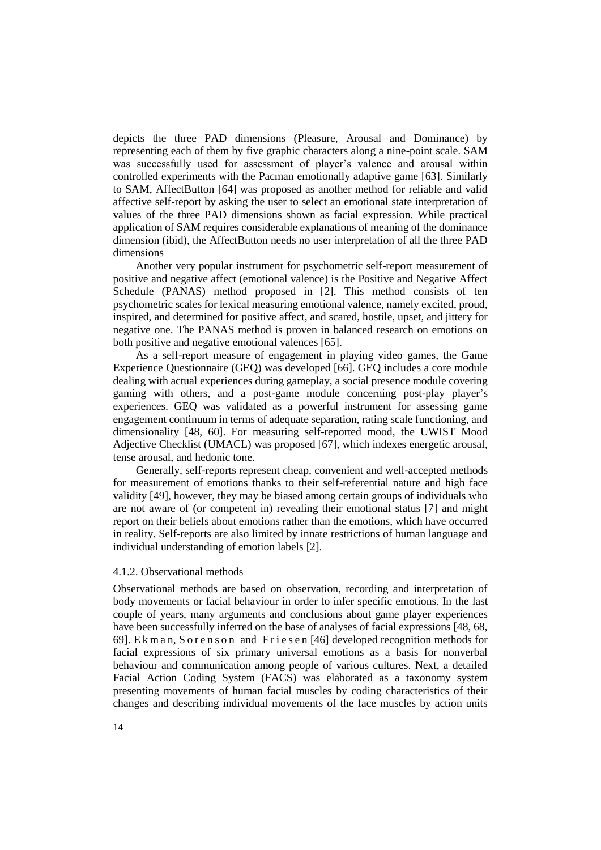depicts the three PAD dimensions (Pleasure, Arousal and Dominance) by representing each of them by five graphic characters along a nine-point scale. SAM was successfully used for assessment of player's valence and arousal within controlled experiments with the Pacman emotionally adaptive game [63]. Similarly to SAM, AffectButton [64] was proposed as another method for reliable and valid affective self-report by asking the user to select an emotional state interpretation of values of the three PAD dimensions shown as facial expression. While practical application of SAM requires considerable explanations of meaning of the dominance dimension (ibid), the AffectButton needs no user interpretation of all the three PAD dimensions

Another very popular instrument for psychometric self-report measurement of positive and negative affect (emotional valence) is the Positive and Negative Affect Schedule (PANAS) method proposed in [2]. This method consists of ten psychometric scales for lexical measuring emotional valence, namely excited, proud, inspired, and determined for positive affect, and scared, hostile, upset, and jittery for negative one. The PANAS method is proven in balanced research on emotions on both positive and negative emotional valences [65].

As a self-report measure of engagement in playing video games, the Game Experience Questionnaire (GEQ) was developed [66]. GEQ includes a core module dealing with actual experiences during gameplay, a social presence module covering gaming with others, and a post-game module concerning post-play player's experiences. GEQ was validated as a powerful instrument for assessing game engagement continuum in terms of adequate separation, rating scale functioning, and dimensionality [48, 60]. For measuring self-reported mood, the UWIST Mood Adjective Checklist (UMACL) was proposed [67], which indexes energetic arousal, tense arousal, and hedonic tone.

Generally, self-reports represent cheap, convenient and well-accepted methods for measurement of emotions thanks to their self-referential nature and high face validity [49], however, they may be biased among certain groups of individuals who are not aware of (or competent in) revealing their emotional status [7] and might report on their beliefs about emotions rather than the emotions, which have occurred in reality. Self-reports are also limited by innate restrictions of human language and individual understanding of emotion labels [2].

#### 4.1.2. Observational methods

Observational methods are based on observation, recording and interpretation of body movements or facial behaviour in order to infer specific emotions. In the last couple of years, many arguments and conclusions about game player experiences have been successfully inferred on the base of analyses of facial expressions [48, 68, 69]. E k m a n, S o r e n s o n and F r i e s e n [46] developed recognition methods for facial expressions of six primary universal emotions as a basis for nonverbal behaviour and communication among people of various cultures. Next, a detailed Facial Action Coding System (FACS) was elaborated as a taxonomy system presenting movements of human facial muscles by coding characteristics of their changes and describing individual movements of the face muscles by action units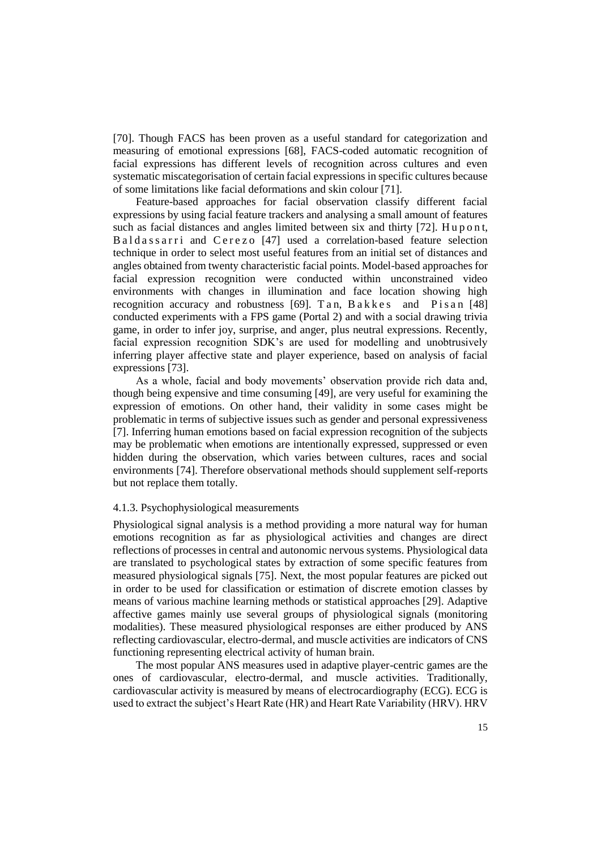[70]. Though FACS has been proven as a useful standard for categorization and measuring of emotional expressions [68], FACS-coded automatic recognition of facial expressions has different levels of recognition across cultures and even systematic miscategorisation of certain facial expressions in specific cultures because of some limitations like facial deformations and skin colour [71].

Feature-based approaches for facial observation classify different facial expressions by using facial feature trackers and analysing a small amount of features such as facial distances and angles limited between six and thirty [72]. Hupont, B a l d a s s a r r i and C e r e z o [47] used a correlation-based feature selection technique in order to select most useful features from an initial set of distances and angles obtained from twenty characteristic facial points. Model-based approaches for facial expression recognition were conducted within unconstrained video environments with changes in illumination and face location showing high recognition accuracy and robustness  $[69]$ . T a n, B a k k e s and P i s a n  $[48]$ conducted experiments with a FPS game (Portal 2) and with a social drawing trivia game, in order to infer joy, surprise, and anger, plus neutral expressions. Recently, facial expression recognition SDK's are used for modelling and unobtrusively inferring player affective state and player experience, based on analysis of facial expressions [73].

As a whole, facial and body movements' observation provide rich data and, though being expensive and time consuming [49], are very useful for examining the expression of emotions. On other hand, their validity in some cases might be problematic in terms of subjective issues such as gender and personal expressiveness [7]. Inferring human emotions based on facial expression recognition of the subjects may be problematic when emotions are intentionally expressed, suppressed or even hidden during the observation, which varies between cultures, races and social environments [74]. Therefore observational methods should supplement self-reports but not replace them totally.

# 4.1.3. Psychophysiological measurements

Physiological signal analysis is a method providing a more natural way for human emotions recognition as far as physiological activities and changes are direct reflections of processes in central and autonomic nervous systems. Physiological data are translated to psychological states by extraction of some specific features from measured physiological signals [75]. Next, the most popular features are picked out in order to be used for classification or estimation of discrete emotion classes by means of various machine learning methods or statistical approaches [29]. Adaptive affective games mainly use several groups of physiological signals (monitoring modalities). These measured physiological responses are either produced by ANS reflecting cardiovascular, electro-dermal, and muscle activities are indicators of CNS functioning representing electrical activity of human brain.

The most popular ANS measures used in adaptive player-centric games are the ones of cardiovascular, electro-dermal, and muscle activities. Traditionally, cardiovascular activity is measured by means of electrocardiography (ECG). ECG is used to extract the subject's Heart Rate (HR) and Heart Rate Variability (HRV). HRV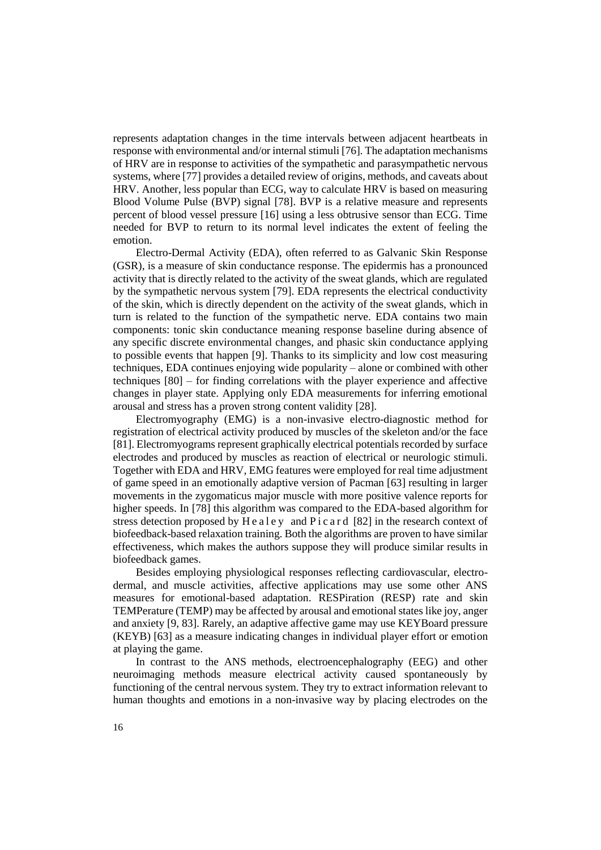represents adaptation changes in the time intervals between adjacent heartbeats in response with environmental and/or internal stimuli [76]. The adaptation mechanisms of HRV are in response to activities of the sympathetic and parasympathetic nervous systems, where [77] provides a detailed review of origins, methods, and caveats about HRV. Another, less popular than ECG, way to calculate HRV is based on measuring Blood Volume Pulse (BVP) signal [78]. BVP is a relative measure and represents percent of blood vessel pressure [16] using a less obtrusive sensor than ECG. Time needed for BVP to return to its normal level indicates the extent of feeling the emotion.

Electro-Dermal Activity (EDA), often referred to as Galvanic Skin Response (GSR), is a measure of skin conductance response. The epidermis has a pronounced activity that is directly related to the activity of the sweat glands, which are regulated by the sympathetic nervous system [79]. EDA represents the electrical conductivity of the skin, which is directly dependent on the activity of the sweat glands, which in turn is related to the function of the sympathetic nerve. EDA contains two main components: tonic skin conductance meaning response baseline during absence of any specific discrete environmental changes, and phasic skin conductance applying to possible events that happen [9]. Thanks to its simplicity and low cost measuring techniques, EDA continues enjoying wide popularity – alone or combined with other techniques [80] – for finding correlations with the player experience and affective changes in player state. Applying only EDA measurements for inferring emotional arousal and stress has a proven strong content validity [28].

Electromyography (EMG) is a non-invasive electro-diagnostic method for registration of electrical activity produced by muscles of the skeleton and/or the face [81]. Electromyograms represent graphically electrical potentials recorded by surface electrodes and produced by muscles as reaction of electrical or neurologic stimuli. Together with EDA and HRV, EMG features were employed for real time adjustment of game speed in an emotionally adaptive version of Pacman [63] resulting in larger movements in the zygomaticus major muscle with more positive valence reports for higher speeds. In [78] this algorithm was compared to the EDA-based algorithm for stress detection proposed by  $He$  a l e y and  $P$  i c a r d [82] in the research context of biofeedback-based relaxation training. Both the algorithms are proven to have similar effectiveness, which makes the authors suppose they will produce similar results in biofeedback games.

Besides employing physiological responses reflecting cardiovascular, electrodermal, and muscle activities, affective applications may use some other ANS measures for emotional-based adaptation. RESPiration (RESP) rate and skin TEMPerature (TEMP) may be affected by arousal and emotional states like joy, anger and anxiety [9, 83]. Rarely, an adaptive affective game may use KEYBoard pressure (KEYB) [63] as a measure indicating changes in individual player effort or emotion at playing the game.

In contrast to the ANS methods, electroencephalography (EEG) and other neuroimaging methods measure electrical activity caused spontaneously by functioning of the central nervous system. They try to extract information relevant to human thoughts and emotions in a non-invasive way by placing electrodes on the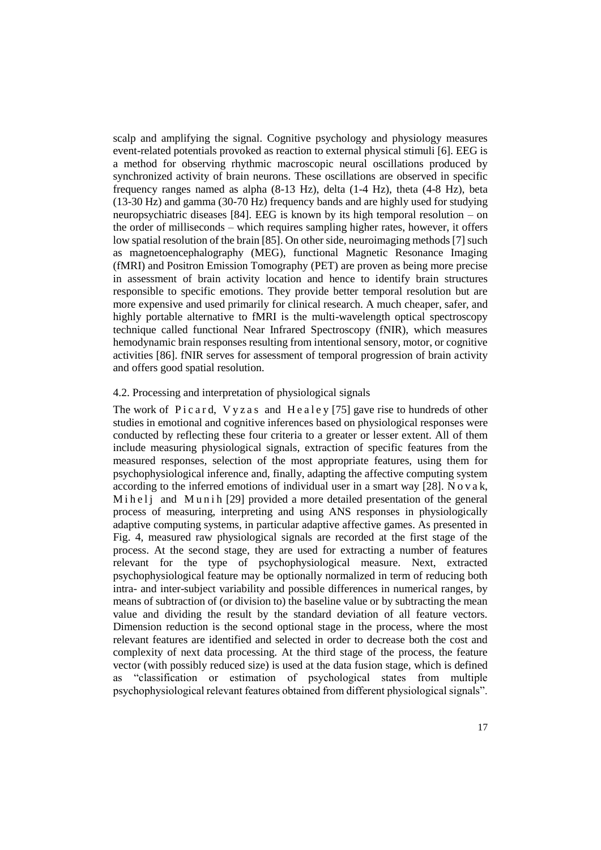scalp and amplifying the signal. Cognitive psychology and physiology measures event-related potentials provoked as reaction to external physical stimuli [6]. EEG is a method for observing rhythmic macroscopic neural oscillations produced by synchronized activity of brain neurons. These oscillations are observed in specific frequency ranges named as alpha (8-13 Hz), delta (1-4 Hz), theta (4-8 Hz), beta (13-30 Hz) and gamma (30-70 Hz) frequency bands and are highly used for studying neuropsychiatric diseases [84]. EEG is known by its high temporal resolution – on the order of milliseconds – which requires sampling higher rates, however, it offers low spatial resolution of the brain [85]. On other side, neuroimaging methods [7] such as magnetoencephalography (MEG), functional Magnetic Resonance Imaging (fMRI) and Positron Emission Tomography (PET) are proven as being more precise in assessment of brain activity location and hence to identify brain structures responsible to specific emotions. They provide better temporal resolution but are more expensive and used primarily for clinical research. A much cheaper, safer, and highly portable alternative to fMRI is the multi-wavelength optical spectroscopy technique called functional Near Infrared Spectroscopy (fNIR), which measures hemodynamic brain responses resulting from intentional sensory, motor, or cognitive activities [86]. fNIR serves for assessment of temporal progression of brain activity and offers good spatial resolution.

### 4.2. Processing and interpretation of physiological signals

The work of Picard, Vyzas and Healey [75] gave rise to hundreds of other studies in emotional and cognitive inferences based on physiological responses were conducted by reflecting these four criteria to a greater or lesser extent. All of them include measuring physiological signals, extraction of specific features from the measured responses, selection of the most appropriate features, using them for psychophysiological inference and, finally, adapting the affective computing system according to the inferred emotions of individual user in a smart way [28]. N o v a k, Mihelj and Munih [29] provided a more detailed presentation of the general process of measuring, interpreting and using ANS responses in physiologically adaptive computing systems, in particular adaptive affective games. As presented in Fig. 4, measured raw physiological signals are recorded at the first stage of the process. At the second stage, they are used for extracting a number of features relevant for the type of psychophysiological measure. Next, extracted psychophysiological feature may be optionally normalized in term of reducing both intra- and inter-subject variability and possible differences in numerical ranges, by means of subtraction of (or division to) the baseline value or by subtracting the mean value and dividing the result by the standard deviation of all feature vectors. Dimension reduction is the second optional stage in the process, where the most relevant features are identified and selected in order to decrease both the cost and complexity of next data processing. At the third stage of the process, the feature vector (with possibly reduced size) is used at the data fusion stage, which is defined as "classification or estimation of psychological states from multiple psychophysiological relevant features obtained from different physiological signals".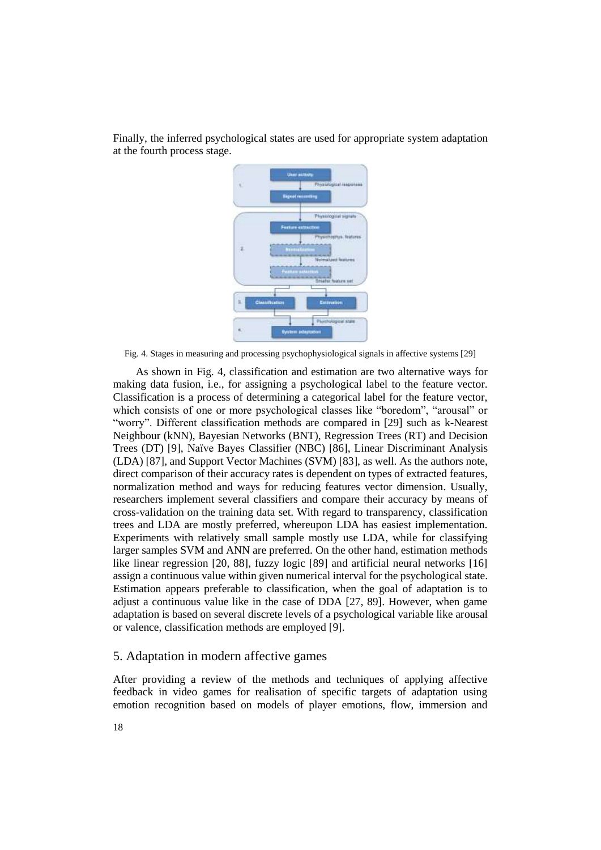

Finally, the inferred psychological states are used for appropriate system adaptation at the fourth process stage.

Fig. 4. Stages in measuring and processing psychophysiological signals in affective systems [29]

As shown in Fig. 4, classification and estimation are two alternative ways for making data fusion, i.e., for assigning a psychological label to the feature vector. Classification is a process of determining a categorical label for the feature vector, which consists of one or more psychological classes like "boredom", "arousal" or "worry". Different classification methods are compared in [29] such as k-Nearest Neighbour (kNN), Bayesian Networks (BNT), Regression Trees (RT) and Decision Trees (DT) [9], Naïve Bayes Classifier (NBC) [86], Linear Discriminant Analysis (LDA) [87], and Support Vector Machines (SVM) [83], as well. As the authors note, direct comparison of their accuracy rates is dependent on types of extracted features, normalization method and ways for reducing features vector dimension. Usually, researchers implement several classifiers and compare their accuracy by means of cross-validation on the training data set. With regard to transparency, classification trees and LDA are mostly preferred, whereupon LDA has easiest implementation. Experiments with relatively small sample mostly use LDA, while for classifying larger samples SVM and ANN are preferred. On the other hand, estimation methods like linear regression [20, 88], fuzzy logic [89] and artificial neural networks [16] assign a continuous value within given numerical interval for the psychological state. Estimation appears preferable to classification, when the goal of adaptation is to adjust a continuous value like in the case of DDA [27, 89]. However, when game adaptation is based on several discrete levels of a psychological variable like arousal or valence, classification methods are employed [9].

# 5. Adaptation in modern affective games

After providing a review of the methods and techniques of applying affective feedback in video games for realisation of specific targets of adaptation using emotion recognition based on models of player emotions, flow, immersion and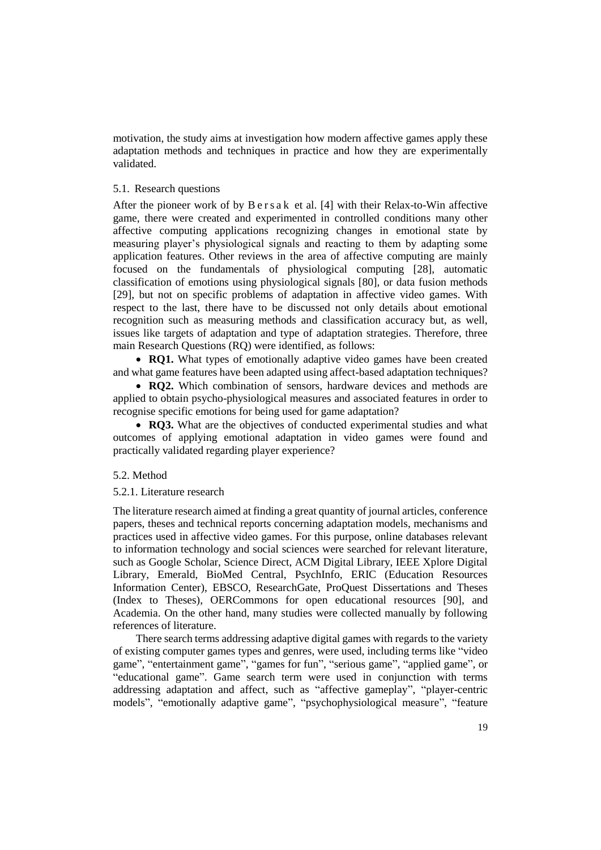motivation, the study aims at investigation how modern affective games apply these adaptation methods and techniques in practice and how they are experimentally validated.

# 5.1. Research questions

After the pioneer work of by B e r s a k et al. [4] with their Relax-to-Win affective game, there were created and experimented in controlled conditions many other affective computing applications recognizing changes in emotional state by measuring player's physiological signals and reacting to them by adapting some application features. Other reviews in the area of affective computing are mainly focused on the fundamentals of physiological computing [28], automatic classification of emotions using physiological signals [80], or data fusion methods [29], but not on specific problems of adaptation in affective video games. With respect to the last, there have to be discussed not only details about emotional recognition such as measuring methods and classification accuracy but, as well, issues like targets of adaptation and type of adaptation strategies. Therefore, three main Research Questions (RQ) were identified, as follows:

• **RQ1.** What types of emotionally adaptive video games have been created and what game features have been adapted using affect-based adaptation techniques?

 **RQ2.** Which combination of sensors, hardware devices and methods are applied to obtain psycho-physiological measures and associated features in order to recognise specific emotions for being used for game adaptation?

• RO3. What are the objectives of conducted experimental studies and what outcomes of applying emotional adaptation in video games were found and practically validated regarding player experience?

#### 5.2. Method

5.2.1. Literature research

The literature research aimed at finding a great quantity of journal articles, conference papers, theses and technical reports concerning adaptation models, mechanisms and practices used in affective video games. For this purpose, online databases relevant to information technology and social sciences were searched for relevant literature, such as Google Scholar, Science Direct, ACM Digital Library, IEEE Xplore Digital Library, Emerald, BioMed Central, PsychInfo, ERIC (Education Resources Information Center), EBSCO, ResearchGate, ProQuest Dissertations and Theses (Index to Theses), OERCommons for open educational resources [90], and Academia. On the other hand, many studies were collected manually by following references of literature.

There search terms addressing adaptive digital games with regards to the variety of existing computer games types and genres, were used, including terms like "video game", "entertainment game", "games for fun", "serious game", "applied game", or "educational game". Game search term were used in conjunction with terms addressing adaptation and affect, such as "affective gameplay", "player-centric models", "emotionally adaptive game", "psychophysiological measure", "feature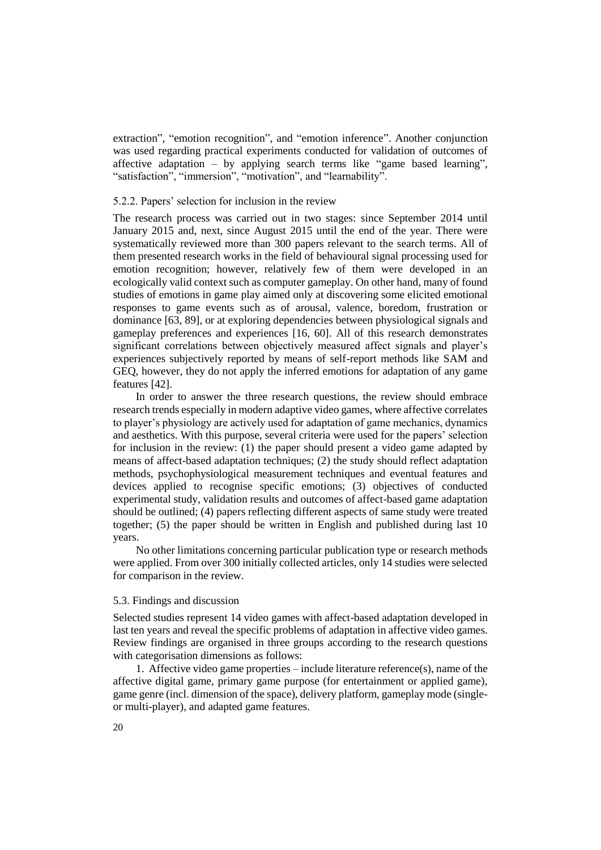extraction", "emotion recognition", and "emotion inference". Another conjunction was used regarding practical experiments conducted for validation of outcomes of affective adaptation – by applying search terms like "game based learning", "satisfaction", "immersion", "motivation", and "learnability".

### 5.2.2. Papers' selection for inclusion in the review

The research process was carried out in two stages: since September 2014 until January 2015 and, next, since August 2015 until the end of the year. There were systematically reviewed more than 300 papers relevant to the search terms. All of them presented research works in the field of behavioural signal processing used for emotion recognition; however, relatively few of them were developed in an ecologically valid context such as computer gameplay. On other hand, many of found studies of emotions in game play aimed only at discovering some elicited emotional responses to game events such as of arousal, valence, boredom, frustration or dominance [63, 89], or at exploring dependencies between physiological signals and gameplay preferences and experiences [16, 60]. All of this research demonstrates significant correlations between objectively measured affect signals and player's experiences subjectively reported by means of self-report methods like SAM and GEQ, however, they do not apply the inferred emotions for adaptation of any game features [42].

In order to answer the three research questions, the review should embrace research trends especially in modern adaptive video games, where affective correlates to player's physiology are actively used for adaptation of game mechanics, dynamics and aesthetics. With this purpose, several criteria were used for the papers' selection for inclusion in the review: (1) the paper should present a video game adapted by means of affect-based adaptation techniques; (2) the study should reflect adaptation methods, psychophysiological measurement techniques and eventual features and devices applied to recognise specific emotions; (3) objectives of conducted experimental study, validation results and outcomes of affect-based game adaptation should be outlined; (4) papers reflecting different aspects of same study were treated together; (5) the paper should be written in English and published during last 10 years.

No other limitations concerning particular publication type or research methods were applied. From over 300 initially collected articles, only 14 studies were selected for comparison in the review.

### 5.3. Findings and discussion

Selected studies represent 14 video games with affect-based adaptation developed in last ten years and reveal the specific problems of adaptation in affective video games. Review findings are organised in three groups according to the research questions with categorisation dimensions as follows:

1. Affective video game properties – include literature reference(s), name of the affective digital game, primary game purpose (for entertainment or applied game), game genre (incl. dimension of the space), delivery platform, gameplay mode (singleor multi-player), and adapted game features.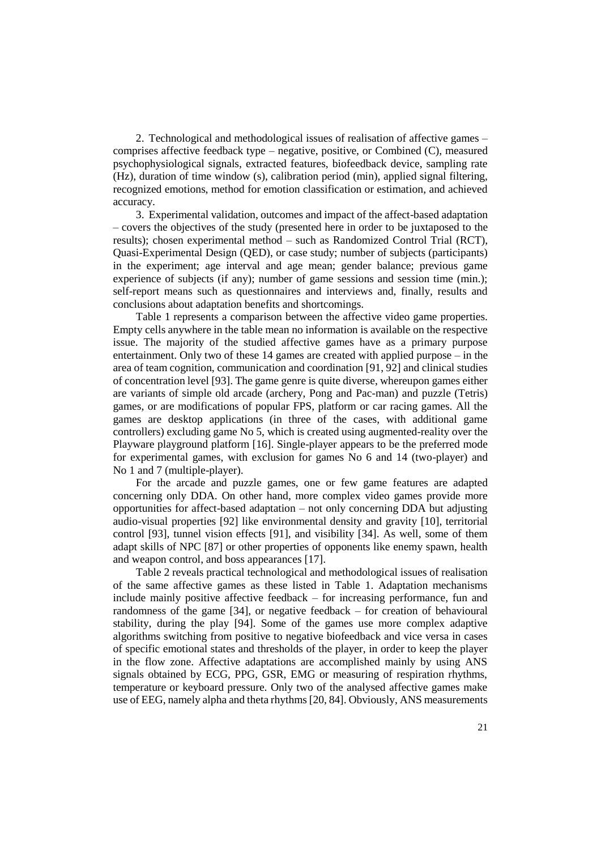2. Technological and methodological issues of realisation of affective games – comprises affective feedback type – negative, positive, or Combined (C), measured psychophysiological signals, extracted features, biofeedback device, sampling rate (Hz), duration of time window (s), calibration period (min), applied signal filtering, recognized emotions, method for emotion classification or estimation, and achieved accuracy.

3. Experimental validation, outcomes and impact of the affect-based adaptation – covers the objectives of the study (presented here in order to be juxtaposed to the results); chosen experimental method – such as Randomized Control Trial (RCT), Quasi-Experimental Design (QED), or case study; number of subjects (participants) in the experiment; age interval and age mean; gender balance; previous game experience of subjects (if any); number of game sessions and session time (min.); self-report means such as questionnaires and interviews and, finally, results and conclusions about adaptation benefits and shortcomings.

Table 1 represents a comparison between the affective video game properties. Empty cells anywhere in the table mean no information is available on the respective issue. The majority of the studied affective games have as a primary purpose entertainment. Only two of these 14 games are created with applied purpose – in the area of team cognition, communication and coordination [91, 92] and clinical studies of concentration level [93]. The game genre is quite diverse, whereupon games either are variants of simple old arcade (archery, Pong and Pac-man) and puzzle (Tetris) games, or are modifications of popular FPS, platform or car racing games. All the games are desktop applications (in three of the cases, with additional game controllers) excluding game No 5, which is created using augmented-reality over the Playware playground platform [16]. Single-player appears to be the preferred mode for experimental games, with exclusion for games No 6 and 14 (two-player) and No 1 and 7 (multiple-player).

For the arcade and puzzle games, one or few game features are adapted concerning only DDA. On other hand, more complex video games provide more opportunities for affect-based adaptation – not only concerning DDA but adjusting audio-visual properties [92] like environmental density and gravity [10], territorial control [93], tunnel vision effects [91], and visibility [34]. As well, some of them adapt skills of NPC [87] or other properties of opponents like enemy spawn, health and weapon control, and boss appearances [17].

Table 2 reveals practical technological and methodological issues of realisation of the same affective games as these listed in Table 1. Adaptation mechanisms include mainly positive affective feedback – for increasing performance, fun and randomness of the game [34], or negative feedback – for creation of behavioural stability, during the play [94]. Some of the games use more complex adaptive algorithms switching from positive to negative biofeedback and vice versa in cases of specific emotional states and thresholds of the player, in order to keep the player in the flow zone. Affective adaptations are accomplished mainly by using ANS signals obtained by ECG, PPG, GSR, EMG or measuring of respiration rhythms, temperature or keyboard pressure. Only two of the analysed affective games make use of EEG, namely alpha and theta rhythms [20, 84]. Obviously, ANS measurements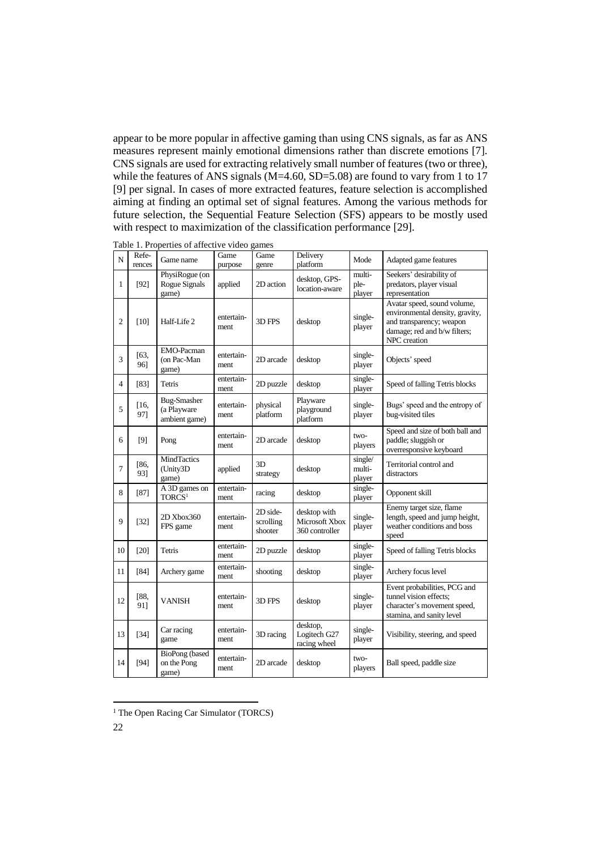appear to be more popular in affective gaming than using CNS signals, as far as ANS measures represent mainly emotional dimensions rather than discrete emotions [7]. CNS signals are used for extracting relatively small number of features (two or three), while the features of ANS signals (M=4.60, SD=5.08) are found to vary from 1 to 17 [9] per signal. In cases of more extracted features, feature selection is accomplished aiming at finding an optimal set of signal features. Among the various methods for future selection, the Sequential Feature Selection (SFS) appears to be mostly used with respect to maximization of the classification performance [29].

| N              | Refe-<br>rences | Game name                                          | Game<br>purpose    | Game<br>genre                    | Delivery<br>platform                             | Mode                        | Adapted game features                                                                                                                      |
|----------------|-----------------|----------------------------------------------------|--------------------|----------------------------------|--------------------------------------------------|-----------------------------|--------------------------------------------------------------------------------------------------------------------------------------------|
| 1              | $[92]$          | PhysiRogue (on<br>Rogue Signals<br>game)           | applied            | 2D action                        | desktop, GPS-<br>location-aware                  | multi-<br>ple-<br>player    | Seekers' desirability of<br>predators, player visual<br>representation                                                                     |
| $\overline{2}$ | [10]            | Half-Life 2                                        | entertain-<br>ment | 3D FPS                           | desktop                                          | single-<br>player           | Avatar speed, sound volume,<br>environmental density, gravity,<br>and transparency; weapon<br>damage; red and b/w filters;<br>NPC creation |
| 3              | [63,<br>961     | <b>EMO-Pacman</b><br>(on Pac-Man<br>game)          | entertain-<br>ment | 2D arcade                        | desktop                                          | single-<br>player           | Objects' speed                                                                                                                             |
| 4              | $[83]$          | Tetris                                             | entertain-<br>ment | 2D puzzle                        | desktop                                          | single-<br>player           | Speed of falling Tetris blocks                                                                                                             |
| 5              | [16,<br>97]     | <b>Bug-Smasher</b><br>(a Playware<br>ambient game) | entertain-<br>ment | physical<br>platform             | Playware<br>playground<br>platform               | single-<br>player           | Bugs' speed and the entropy of<br>bug-visited tiles                                                                                        |
| 6              | [9]             | Pong                                               | entertain-<br>ment | 2D arcade                        | desktop                                          | two-<br>players             | Speed and size of both ball and<br>paddle; sluggish or<br>overresponsive keyboard                                                          |
| 7              | [86,<br>93]     | <b>MindTactics</b><br>(Unity3D<br>game)            | applied            | 3D<br>strategy                   | desktop                                          | single/<br>multi-<br>player | Territorial control and<br>distractors                                                                                                     |
| 8              | $[87]$          | A 3D games on<br>TORCS <sup>1</sup>                | entertain-<br>ment | racing                           | desktop                                          | single-<br>player           | Opponent skill                                                                                                                             |
| 9              | $[32]$          | 2D Xbox360<br>FPS game                             | entertain-<br>ment | 2D side-<br>scrolling<br>shooter | desktop with<br>Microsoft Xbox<br>360 controller | single-<br>player           | Enemy target size, flame<br>length, speed and jump height,<br>weather conditions and boss<br>speed                                         |
| 10             | [20]            | Tetris                                             | entertain-<br>ment | 2D puzzle                        | desktop                                          | single-<br>player           | Speed of falling Tetris blocks                                                                                                             |
| 11             | $[84]$          | Archery game                                       | entertain-<br>ment | shooting                         | desktop                                          | single-<br>player           | Archery focus level                                                                                                                        |
| 12             | [88,<br>911     | <b>VANISH</b>                                      | entertain-<br>ment | 3D FPS                           | desktop                                          | single-<br>player           | Event probabilities, PCG and<br>tunnel vision effects:<br>character's movement speed,<br>stamina, and sanity level                         |
| 13             | $[34]$          | Car racing<br>game                                 | entertain-<br>ment | 3D racing                        | desktop,<br>Logitech G27<br>racing wheel         | single-<br>player           | Visibility, steering, and speed                                                                                                            |
| 14             | [94]            | BioPong (based<br>on the Pong<br>game)             | entertain-<br>ment | 2D arcade                        | desktop                                          | two-<br>players             | Ball speed, paddle size                                                                                                                    |

Table 1. Properties of affective video games

22

 $\overline{a}$ 

<sup>&</sup>lt;sup>1</sup> The Open Racing Car Simulator (TORCS)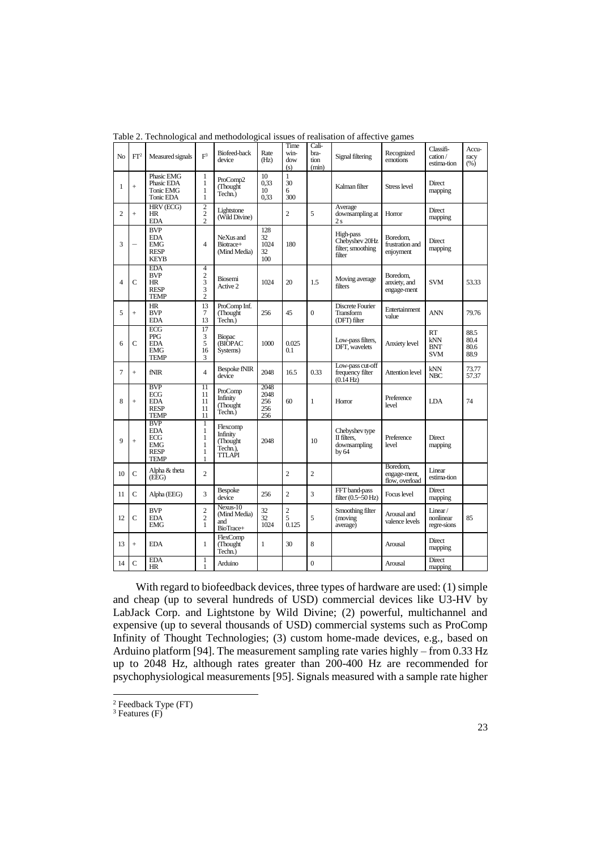| N <sub>o</sub> | FT <sup>2</sup> | Measured signals                                                                   | $\mathbf{F}^3$                                                         | <b>Biofeed-back</b><br>device                           | Rate<br>(Hz)                      | Time<br>win-<br>dow<br>(s)     | Cali-<br>bra-<br>tion<br>(min) | Signal filtering                                            | Recognized<br>emotions                     | Classifi-<br>cation/<br>estima-tion          | Accu-<br>racy<br>(%)         |
|----------------|-----------------|------------------------------------------------------------------------------------|------------------------------------------------------------------------|---------------------------------------------------------|-----------------------------------|--------------------------------|--------------------------------|-------------------------------------------------------------|--------------------------------------------|----------------------------------------------|------------------------------|
| 1              | $\ddot{}$       | Phasic EMG<br>Phasic EDA<br><b>Tonic EMG</b><br>Tonic EDA                          | $\mathbf{1}$<br>$\mathbf{1}$<br>$\mathbf{1}$<br>1                      | ProComp2<br>(Thought<br>Techn.                          | 10<br>0.33<br>10<br>0,33          | $\mathbf{1}$<br>30<br>6<br>300 |                                | Kalman filter                                               | Stress level                               | Direct<br>mapping                            |                              |
| $\overline{2}$ | $\ddot{}$       | HRV (ECG)<br>HR<br><b>EDA</b>                                                      | $\overline{c}$<br>$\overline{c}$<br>$\overline{c}$                     | Lightstone<br>(Wild Divine)                             |                                   | $\overline{c}$                 | 5                              | Average<br>downsampling at<br>2s                            | Horror                                     | Direct<br>mapping                            |                              |
| 3              |                 | <b>RVP</b><br><b>EDA</b><br><b>EMG</b><br><b>RESP</b><br><b>KEYB</b>               | $\overline{\mathcal{A}}$                                               | NeXus and<br>Biotrace+<br>(Mind Media)                  | 128<br>32<br>1024<br>32<br>100    | 180                            |                                | High-pass<br>Chebyshev 20Hz<br>filter; smoothing<br>filter  | Boredom.<br>frustration and<br>enjoyment   | Direct<br>mapping                            |                              |
| $\overline{4}$ | C               | <b>EDA</b><br><b>BVP</b><br>HR<br><b>RESP</b><br><b>TEMP</b>                       | 4<br>$\overline{c}$<br>3<br>3<br>$\overline{c}$                        | Biosemi<br>Active 2                                     | 1024                              | 20                             | 1.5                            | Moving average<br>filters                                   | Boredom,<br>anxiety, and<br>engage-ment    | <b>SVM</b>                                   | 53.33                        |
| 5              | $+$             | HR<br><b>BVP</b><br><b>EDA</b>                                                     | 13<br>7<br>13                                                          | ProComp Inf.<br>(Thought)<br>Techn.                     | 256                               | 45                             | $\theta$                       | Discrete Fourier<br>Transform<br>(DFT) filter               | Entertainment<br>value                     | <b>ANN</b>                                   | 79.76                        |
| 6              | $\overline{C}$  | <b>ECG</b><br><b>PPG</b><br><b>EDA</b><br><b>EMG</b><br><b>TEMP</b>                | 17<br>3<br>5<br>16<br>3                                                | <b>Biopac</b><br>(BIOPAC)<br>Systems)                   | 1000                              | 0.025<br>0.1                   |                                | Low-pass filters.<br>DFT, wavelets                          | <b>Anxiety</b> level                       | <b>RT</b><br>kNN<br><b>BNT</b><br><b>SVM</b> | 88.5<br>80.4<br>80.6<br>88.9 |
| 7              | $\ddot{}$       | fNIR                                                                               | 4                                                                      | <b>Bespoke fNIR</b><br>device                           | 2048                              | 16.5                           | 0.33                           | Low-pass cut-off<br>frequency filter<br>$(0.14 \text{ Hz})$ | <b>Attention level</b>                     | kNN<br><b>NBC</b>                            | 73.77<br>57.37               |
| 8              | $^{+}$          | <b>BVP</b><br>ECG<br><b>EDA</b><br><b>RESP</b><br><b>TEMP</b>                      | $\overline{11}$<br>11<br>11<br>11<br>11                                | ProComp<br>Infinity<br>(Thought)<br>Techn.)             | 2048<br>2048<br>256<br>256<br>256 | 60                             | $\mathbf{1}$                   | Horror                                                      | Preference<br>level                        | LDA                                          | 74                           |
| 9              | $\! + \!\!\!\!$ | <b>BVP</b><br><b>EDA</b><br><b>ECG</b><br><b>EMG</b><br><b>RESP</b><br><b>TEMP</b> | $\mathbf{1}$<br>$\mathbf{1}$<br>$\mathbf{1}$<br>1<br>$\mathbf{1}$<br>1 | Flexcomp<br>Infinity<br>(Thought)<br>Techn.),<br>TTLAPI | 2048                              |                                | 10                             | Chebyshev type<br>II filters.<br>downsampling<br>by 64      | Preference<br>level                        | Direct<br>mapping                            |                              |
| 10             | $\overline{C}$  | Alpha & theta<br>(EEG)                                                             | $\overline{c}$                                                         |                                                         |                                   | $\overline{c}$                 | $\overline{c}$                 |                                                             | Boredom.<br>engage-ment,<br>flow, overload | <b>Linear</b><br>estima-tion                 |                              |
| 11             | C               | Alpha (EEG)                                                                        | 3                                                                      | <b>Bespoke</b><br>device                                | 256                               | $\overline{c}$                 | 3                              | FFT band-pass<br>filter $(0.5 \sim 50 \text{ Hz})$          | Focus level                                | Direct<br>mapping                            |                              |
| 12             | C               | <b>BVP</b><br><b>EDA</b><br>EMG                                                    | $\overline{c}$<br>2<br>1                                               | $Nexus-10$<br>(Mind Media)<br>and<br>BioTrace+          | 32<br>32<br>1024                  | $\overline{c}$<br>5<br>0.125   | 5                              | Smoothing filter<br>(moving)<br>average)                    | Arousal and<br>valence levels              | Linear $\angle$<br>nonlinear<br>regre-sions  | 85                           |
| 13             | $+$             | <b>EDA</b>                                                                         | 1                                                                      | FlexComp<br>(Thought)<br>Techn.)                        | 1                                 | 30                             | 8                              |                                                             | Arousal                                    | Direct<br>mapping                            |                              |
| 14             | $\overline{C}$  | <b>EDA</b><br>HR                                                                   | $\mathbf{1}$<br>1                                                      | Arduino                                                 |                                   |                                | $\overline{0}$                 |                                                             | Arousal                                    | Direct<br>mapping                            |                              |

Table 2. Technological and methodological issues of realisation of affective games

With regard to biofeedback devices, three types of hardware are used: (1) simple and cheap (up to several hundreds of USD) commercial devices like U3-HV by LabJack Corp. and Lightstone by Wild Divine; (2) powerful, multichannel and expensive (up to several thousands of USD) commercial systems such as ProComp Infinity of Thought Technologies; (3) custom home-made devices, e.g., based on Arduino platform [94]. The measurement sampling rate varies highly – from 0.33 Hz up to 2048 Hz, although rates greater than 200-400 Hz are recommended for psychophysiological measurements [95]. Signals measured with a sample rate higher

 $\overline{a}$ 

<sup>&</sup>lt;sup>2</sup> Feedback Type (FT)

 $3$  Features (F)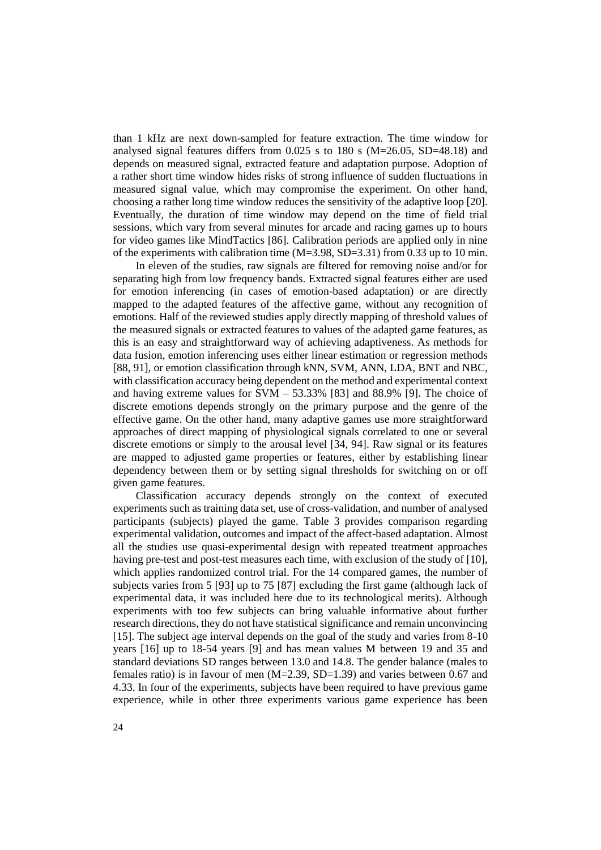than 1 kHz are next down-sampled for feature extraction. The time window for analysed signal features differs from 0.025 s to 180 s (M=26.05, SD=48.18) and depends on measured signal, extracted feature and adaptation purpose. Adoption of a rather short time window hides risks of strong influence of sudden fluctuations in measured signal value, which may compromise the experiment. On other hand, choosing a rather long time window reduces the sensitivity of the adaptive loop [20]. Eventually, the duration of time window may depend on the time of field trial sessions, which vary from several minutes for arcade and racing games up to hours for video games like MindTactics [86]. Calibration periods are applied only in nine of the experiments with calibration time (M=3.98, SD=3.31) from 0.33 up to 10 min.

In eleven of the studies, raw signals are filtered for removing noise and/or for separating high from low frequency bands. Extracted signal features either are used for emotion inferencing (in cases of emotion-based adaptation) or are directly mapped to the adapted features of the affective game, without any recognition of emotions. Half of the reviewed studies apply directly mapping of threshold values of the measured signals or extracted features to values of the adapted game features, as this is an easy and straightforward way of achieving adaptiveness. As methods for data fusion, emotion inferencing uses either linear estimation or regression methods [88, 91], or emotion classification through kNN, SVM, ANN, LDA, BNT and NBC, with classification accuracy being dependent on the method and experimental context and having extreme values for  $SVM - 53.33\%$  [83] and 88.9% [9]. The choice of discrete emotions depends strongly on the primary purpose and the genre of the effective game. On the other hand, many adaptive games use more straightforward approaches of direct mapping of physiological signals correlated to one or several discrete emotions or simply to the arousal level [34, 94]. Raw signal or its features are mapped to adjusted game properties or features, either by establishing linear dependency between them or by setting signal thresholds for switching on or off given game features.

Classification accuracy depends strongly on the context of executed experiments such as training data set, use of cross-validation, and number of analysed participants (subjects) played the game. Table 3 provides comparison regarding experimental validation, outcomes and impact of the affect-based adaptation. Almost all the studies use quasi-experimental design with repeated treatment approaches having pre-test and post-test measures each time, with exclusion of the study of [10], which applies randomized control trial. For the 14 compared games, the number of subjects varies from 5 [93] up to 75 [87] excluding the first game (although lack of experimental data, it was included here due to its technological merits). Although experiments with too few subjects can bring valuable informative about further research directions, they do not have statistical significance and remain unconvincing [15]. The subject age interval depends on the goal of the study and varies from 8-10 years [16] up to 18-54 years [9] and has mean values M between 19 and 35 and standard deviations SD ranges between 13.0 and 14.8. The gender balance (males to females ratio) is in favour of men (M=2.39, SD=1.39) and varies between 0.67 and 4.33. In four of the experiments, subjects have been required to have previous game experience, while in other three experiments various game experience has been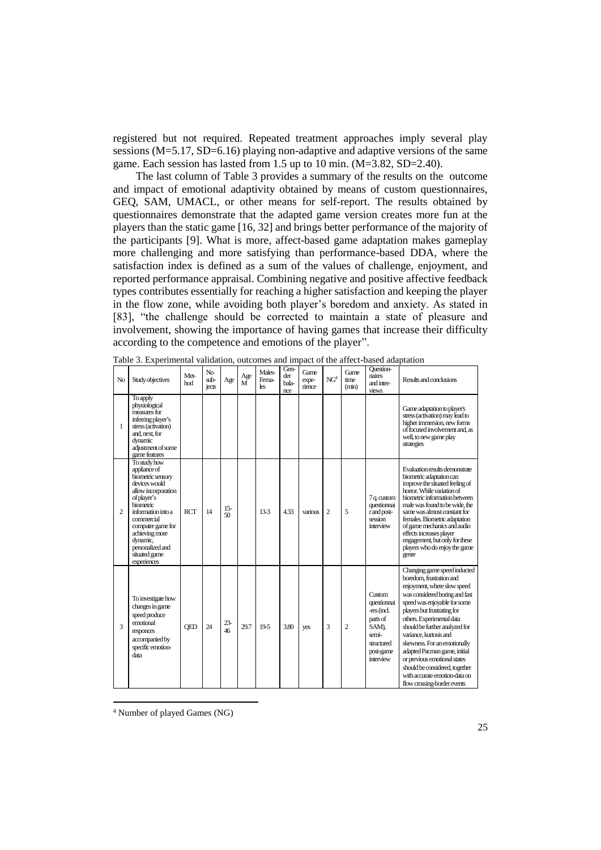registered but not required. Repeated treatment approaches imply several play sessions  $(M=5.17, SD=6.16)$  playing non-adaptive and adaptive versions of the same game. Each session has lasted from 1.5 up to 10 min. (M=3.82, SD=2.40).

The last column of Table 3 provides a summary of the results on the outcome and impact of emotional adaptivity obtained by means of custom questionnaires, GEQ, SAM, UMACL, or other means for self-report. The results obtained by questionnaires demonstrate that the adapted game version creates more fun at the players than the static game [16, 32] and brings better performance of the majority of the participants [9]. What is more, affect-based game adaptation makes gameplay more challenging and more satisfying than performance-based DDA, where the satisfaction index is defined as a sum of the values of challenge, enjoyment, and reported performance appraisal. Combining negative and positive affective feedback types contributes essentially for reaching a higher satisfaction and keeping the player in the flow zone, while avoiding both player's boredom and anxiety. As stated in [83], "the challenge should be corrected to maintain a state of pleasure and involvement, showing the importance of having games that increase their difficulty according to the competence and emotions of the player".

| N <sub>o</sub>         | Study objectives                                                                                                                                                                                                                                                 | Met-<br>hod | N <sub>0</sub><br>$sub-$<br>jects | Age          | Age<br>ΜĬ | Males-<br>Fema-<br><b>les</b> | Gen-<br>der<br>hala-<br>nce | Game<br>expe-<br>rience | NG <sup>4</sup> | Game<br>time.<br>(min) | <b>Ouestion-</b><br>naires<br>and inter-<br>views                                                          | Results and conclusions                                                                                                                                                                                                                                                                                                                                                                                                                                                             |
|------------------------|------------------------------------------------------------------------------------------------------------------------------------------------------------------------------------------------------------------------------------------------------------------|-------------|-----------------------------------|--------------|-----------|-------------------------------|-----------------------------|-------------------------|-----------------|------------------------|------------------------------------------------------------------------------------------------------------|-------------------------------------------------------------------------------------------------------------------------------------------------------------------------------------------------------------------------------------------------------------------------------------------------------------------------------------------------------------------------------------------------------------------------------------------------------------------------------------|
| 1                      | To apply<br>physiological<br>measures for<br>inferring player's<br>stress (activation)<br>and, next, for<br>dynamic<br>adjustment of some<br>game features                                                                                                       |             |                                   |              |           |                               |                             |                         |                 |                        |                                                                                                            | Game adaptation to player's<br>stress (activation) may lead to<br>higher immersion, new forms<br>of focused involvement and, as<br>well, to new game play<br>strategies                                                                                                                                                                                                                                                                                                             |
| $\mathcal{D}_{\alpha}$ | To study how<br>appliance of<br>biometric sensory<br>devices would<br>allow incorporation<br>of player's<br>biometric<br>information into a<br>commercial<br>computer game for<br>achieving more<br>dynamic,<br>personalized and<br>situated game<br>experiences | <b>RCT</b>  | 14                                | $15 -$<br>50 |           | $13-3$                        | 4.33                        | various                 | $\overline{c}$  | 5                      | 7 q. custom<br>questionnai<br>r and post-<br>session<br>interview                                          | Evaluation results demonstrate<br>biometric adaptation can<br>improve the situated feeling of<br>honor. While variation of<br>biometric information between<br>male was found to be wide, the<br>same was almost constant for<br>females. Biometric adaptation<br>of game mechanics and audio<br>effects increases player<br>engagement, but only for these<br>players who do enjoy the game<br>genre                                                                               |
| 3                      | To investigate how<br>changes in game<br>speed produce<br>emotional<br>responces<br>accompanied by<br>specific emotion-<br>data                                                                                                                                  | <b>OED</b>  | 24                                | $23 -$<br>46 | 29.7      | 19-5                          | 3.80                        | yes                     | 3               | $\overline{2}$         | Custom<br>questionnai<br>-res (incl.<br>parts of<br>SAM).<br>semi-<br>structured<br>post-game<br>interview | Changing game speed inducted<br>boredom, frustration and<br>enjoyment, where slow speed<br>was considered boring and fast<br>speed was enjoyable for some<br>players but frustrating for<br>others. Experimental data<br>should be further analyzed for<br>variance, kurtosis and<br>skewness. For an emotionally<br>adapted Pacman game, initial<br>or previous emotional states<br>should be considered, together<br>with accurate emotion-data on<br>flow crossing-border events |

Table 3. Experimental validation, outcomes and impact of the affect-based adaptation

<sup>4</sup> Number of played Games (NG)

 $\overline{a}$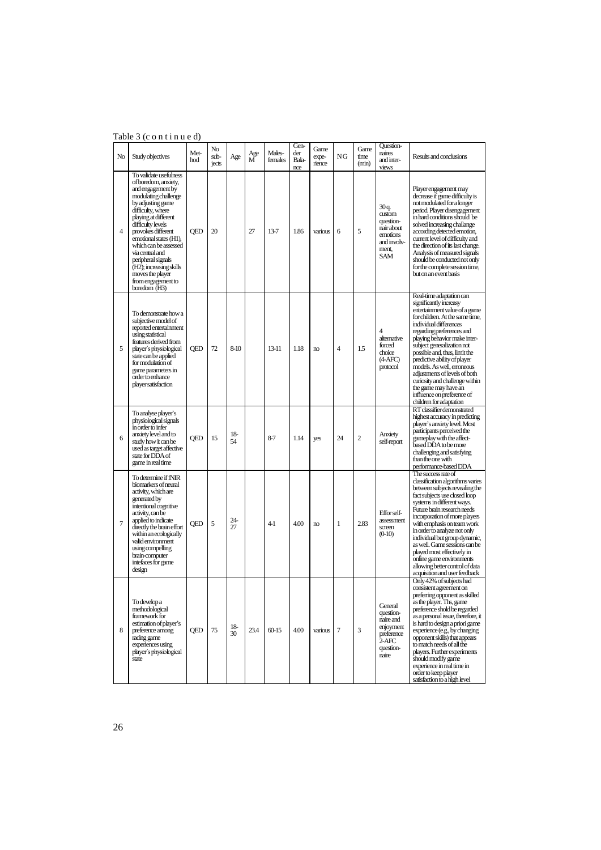| Table 3 (c o n t i n u e d) |  |  |  |  |  |  |  |  |  |
|-----------------------------|--|--|--|--|--|--|--|--|--|
|-----------------------------|--|--|--|--|--|--|--|--|--|

| No             | Study objectives                                                                                                                                                                                                                                                                                                                                                                          | Met-<br>hod | No<br>sub-<br>jects | Age             | Age<br>М | Males-<br>females | Gen-<br>der<br>Bala-<br>nce | Game<br>expe-<br>rience | NG             | Game<br>time<br>(min) | Question-<br>naires<br>and inter-<br>views                                                             | Results and conclusions                                                                                                                                                                                                                                                                                                                                                                                                                                                                        |
|----------------|-------------------------------------------------------------------------------------------------------------------------------------------------------------------------------------------------------------------------------------------------------------------------------------------------------------------------------------------------------------------------------------------|-------------|---------------------|-----------------|----------|-------------------|-----------------------------|-------------------------|----------------|-----------------------|--------------------------------------------------------------------------------------------------------|------------------------------------------------------------------------------------------------------------------------------------------------------------------------------------------------------------------------------------------------------------------------------------------------------------------------------------------------------------------------------------------------------------------------------------------------------------------------------------------------|
| $\overline{4}$ | To validate usefulness<br>of boredom, anxiety,<br>and engagement by<br>modulating challenge<br>by adjusting game<br>difficulty, where<br>playing at different<br>difficulty levels<br>provokes different<br>emotional states (H1),<br>which can be assessed<br>via central and<br>peripheral signals<br>(H2); increasing skills<br>moves the player<br>from engagement to<br>boredom (H3) | <b>OED</b>  | 20                  |                 | 27       | $13 - 7$          | 1.86                        | various                 | 6              | 5                     | 30 <sub>q</sub><br>custom<br>question-<br>nair about<br>emotions<br>and involv-<br>ment.<br><b>SAM</b> | Player engagement may<br>decrease if game difficulty is<br>not modulated for a longer<br>period. Player disengagement<br>in hard conditions should be<br>solved increasing challange<br>according detected emotion,<br>current level of difficulty and<br>the direction of its last change.<br>Analysis of measured signals<br>should be conducted not only<br>for the complete session time,<br>but on an event basis                                                                         |
| 5              | To demonstrate how a<br>subjective model of<br>reported entertainment<br>using statistical<br>features derived from<br>player's physiological<br>state can be applied<br>for modulation of<br>game parameters in<br>order to enhance<br>player satisfaction                                                                                                                               | <b>OED</b>  | 72                  | 8-10            |          | 13-11             | 1.18                        | $\mathbf{no}$           | $\overline{4}$ | 1.5                   | $\overline{\mathcal{A}}$<br>alternative<br>forced<br>choice<br>(4-AFC)<br>protocol                     | Real-time adaptation can<br>significantly increasy<br>entertainment value of a game<br>for children. At the same time,<br>individual differences<br>regarding preferences and<br>playing behavior make inter-<br>subject generalization not<br>possible and, thus, limit the<br>predictive ability of player<br>models. As well, erroneous<br>adjustments of levels of both<br>curiosity and challenge within<br>the game may have an<br>influence on preference of<br>children for adaptation |
| 6              | To analyse player's<br>physiological signals<br>in order to infer<br>anxiety level and to<br>study how it can be<br>used as target affective<br>state for DDA of<br>game in real time                                                                                                                                                                                                     | QED         | 15                  | $18-$<br>54     |          | $8 - 7$           | 1.14                        | yes                     | 24             | $\overline{c}$        | Anxiety<br>self-report                                                                                 | RT classifier demonstrated<br>highest accuracy in predicting<br>player's anxiety level. Most<br>participants perceived the<br>gameplay with the affect-<br>based DDA to be more<br>challenging and satisfying<br>than the one with<br>performance-based DDA                                                                                                                                                                                                                                    |
| $\overline{7}$ | To determine if fNIR<br>biomarkers of neural<br>activity, which are<br>generated by<br>intentional cognitive<br>activity, can be<br>applied to indicate<br>directly the brain effort<br>within an ecologically<br>valid environment<br>using compelling<br>brain-computer<br>intefaces for game<br>design                                                                                 | QED         | 5                   | $\frac{24}{27}$ |          | $4-1$             | 4.00                        | $\mathbf{n}$            | $\mathbf{1}$   | 2.83                  | Effor self-<br>assessment<br>screen<br>$(0-10)$                                                        | The success rate of<br>classification algorithms varies<br>between subjects revealing the<br>fact subjects use closed loop<br>systems in different ways.<br>Future brain research needs<br>incorporation of more players<br>with emphasis on team work<br>in order to analyze not only<br>individual but group dynamic,<br>as well. Game sessions can be<br>played most effectively in<br>online game environments<br>allowing better control of data<br>acquisition and user feedback         |
| 8              | To develop a<br>methodological<br>framework for<br>estimation of player's<br>preference among<br>racing game<br>experiences using<br>player's physiological<br>state                                                                                                                                                                                                                      | QED         | 75                  | $18-$<br>30     | 23.4     | $60-15$           | 4.00                        | various                 | $\tau$         | 3                     | General<br>question-<br>naire and<br>enjoyment<br>preference<br>$2-AFC$<br>question-<br>naire          | Only 42% of subjects had<br>consistent agreement on<br>preferring opponent as skilled<br>as the player. Ths, game<br>preference shold be regarded<br>as a personal issue, therefore, it<br>is hard to design a priori game<br>experience (e.g., by changing<br>opponent skills) that appears<br>to match needs of all the<br>players. Further experiments<br>should modify game<br>experience in real time in<br>order to keep player<br>satisfaction to a high level                          |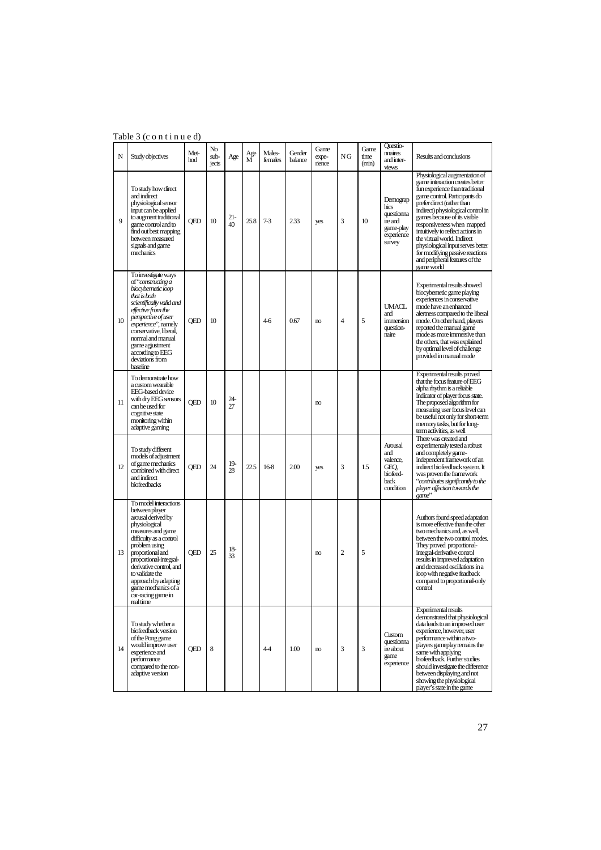| Table 3 (continued) |  |  |  |
|---------------------|--|--|--|
|                     |  |  |  |

| N  | Study objectives                                                                                                                                                                                                                                                                                                              | Met-<br>hod | No<br>sub-<br>jects | Age         | Age<br>М | Males-<br>females | Gender<br>balance | Game<br>expe-<br>rience | NG             | Game<br>time<br>(min) | Questio-<br><i>nnaires</i><br>and inter-<br>views                              | Results and conclusions                                                                                                                                                                                                                                                                                                                                                                                                                                            |
|----|-------------------------------------------------------------------------------------------------------------------------------------------------------------------------------------------------------------------------------------------------------------------------------------------------------------------------------|-------------|---------------------|-------------|----------|-------------------|-------------------|-------------------------|----------------|-----------------------|--------------------------------------------------------------------------------|--------------------------------------------------------------------------------------------------------------------------------------------------------------------------------------------------------------------------------------------------------------------------------------------------------------------------------------------------------------------------------------------------------------------------------------------------------------------|
| 9  | To study how direct<br>and indirect<br>physiological sensor<br>input can be applied<br>to augment traditional<br>game control and to<br>find out best mapping<br>between measured<br>signals and game<br>mechanics                                                                                                            | <b>OED</b>  | 10                  | 21-<br>40   | 25.8     | $7 - 3$           | 2.33              | yes                     | 3              | 10                    | Demograp<br>hics<br>questionna<br>ire and<br>game-play<br>experience<br>survey | Physiological augmentation of<br>game interaction creates better<br>fun experience than traditional<br>game control. Participants do<br>prefer direct (rather than<br>indirect) physiological control in<br>games because of its visible<br>responsiveness when mapped<br>intuitively to reflect actions in<br>the virtual world. Indirect<br>physiological input serves better<br>for modifying passive reactions<br>and peripheral features of the<br>game world |
| 10 | To investigate ways<br>of "constructing a<br>biocybernetic loop<br>that is both<br>scientifically valid and<br>effective from the<br>perspective of user<br>experience", namely<br>conservative, liberal,<br>normal and manual<br>game agjustment<br>according to EEG<br>deviations from<br>baseline                          | <b>OED</b>  | 10                  |             |          | 46                | 0.67              | $\mathbf{no}$           | $\overline{4}$ | 5                     | <b>UMACL</b><br>and<br>immersion<br>question-<br>naire                         | Experimental results showed<br>biocybemetic game playing<br>experiences in conservative<br>mode have an enhanced<br>alertness compared to the liberal<br>mode. On other hand, players<br>reported the manual game<br>mode as more immersive than<br>the others, that was explained<br>by optimal level of challenge<br>provided in manual mode                                                                                                                     |
| 11 | To demonstrate how<br>a custom wearable<br>EEG-based device<br>with dry EEG sensors<br>can be used for<br>cognitive state<br>monitoring within<br>adaptive gaming                                                                                                                                                             | <b>OED</b>  | 10                  | 24-<br>27   |          |                   |                   | $\mathbf{no}$           |                |                       |                                                                                | Experimental results proved<br>that the focus feature of EEG<br>alpha rhythm is a reliable<br>indicator of player focus state.<br>The proposed algorithm for<br>measuring user focus level can<br>be useful not only for short-term<br>memory tasks, but for long-<br>term activities, as well                                                                                                                                                                     |
| 12 | To study different<br>models of adjustment<br>of game mechanics<br>combined with direct<br>and indirect<br><b>biofeedbacks</b>                                                                                                                                                                                                | <b>OED</b>  | 24                  | 19-<br>28   | 22.5     | 16-8              | 2.00              | yes                     | 3              | 1.5                   | Arousal<br>and<br>valence,<br>GEQ,<br>biofeed-<br>back<br>condition            | There was created and<br>experimentaly tested a robust<br>and completely game-<br>independent framework of an<br>indirect biofeedback system. It<br>was proven the framework<br>"contributes significantly to the<br>player affection towards the<br>game"                                                                                                                                                                                                         |
| 13 | To model interactions<br>between player<br>arousal derived by<br>physiological<br>measures and game<br>difficulty as a control<br>problem using<br>proportional and<br>proportional-integral-<br>derivative control, and<br>to validate the<br>approach by adapting<br>game mechanics of a<br>car-racing game in<br>real time | <b>OED</b>  | 25                  | $18-$<br>33 |          |                   |                   | $\mathbf{n}$            | $\overline{c}$ | 5                     |                                                                                | Authors found speed adaptation<br>is more effective than the other<br>two mechanics and, as well,<br>between the two control modes.<br>They proved proportional-<br>integral-derivative control<br>results in impreved adaptation<br>and decreased oscillations in a<br>loop with negative feadback<br>compared to proportional-only<br>control                                                                                                                    |
| 14 | To study whether a<br>biofeedback version<br>of the Pong game<br>would improve user<br>experience and<br>performance<br>compared to the non-<br>adaptive version                                                                                                                                                              | OED         | 8                   |             |          | 44                | 1.00              | $\mathbf{n}$            | 3              | 3                     | Custom<br>questionna<br>ire about<br>game<br>experience                        | <b>Experimental results</b><br>demonstrated that physiological<br>data leads to an improved user<br>experience, however, user<br>performance within a two-<br>players gameplay remains the<br>same with applying<br>biofeedback. Further studies<br>should investigate the difference<br>between displaying and not<br>showing the physiological<br>player's state in the game                                                                                     |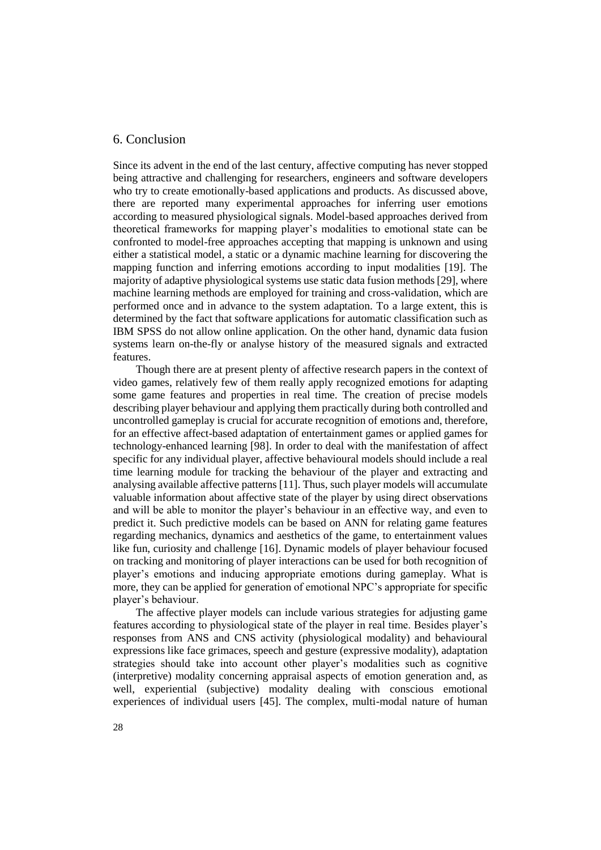# 6. Conclusion

Since its advent in the end of the last century, affective computing has never stopped being attractive and challenging for researchers, engineers and software developers who try to create emotionally-based applications and products. As discussed above, there are reported many experimental approaches for inferring user emotions according to measured physiological signals. Model-based approaches derived from theoretical frameworks for mapping player's modalities to emotional state can be confronted to model-free approaches accepting that mapping is unknown and using either a statistical model, a static or a dynamic machine learning for discovering the mapping function and inferring emotions according to input modalities [19]. The majority of adaptive physiological systems use static data fusion methods [29], where machine learning methods are employed for training and cross-validation, which are performed once and in advance to the system adaptation. To a large extent, this is determined by the fact that software applications for automatic classification such as IBM SPSS do not allow online application. On the other hand, dynamic data fusion systems learn on-the-fly or analyse history of the measured signals and extracted features.

Though there are at present plenty of affective research papers in the context of video games, relatively few of them really apply recognized emotions for adapting some game features and properties in real time. The creation of precise models describing player behaviour and applying them practically during both controlled and uncontrolled gameplay is crucial for accurate recognition of emotions and, therefore, for an effective affect-based adaptation of entertainment games or applied games for technology-enhanced learning [98]. In order to deal with the manifestation of affect specific for any individual player, affective behavioural models should include a real time learning module for tracking the behaviour of the player and extracting and analysing available affective patterns [11]. Thus, such player models will accumulate valuable information about affective state of the player by using direct observations and will be able to monitor the player's behaviour in an effective way, and even to predict it. Such predictive models can be based on ANN for relating game features regarding mechanics, dynamics and aesthetics of the game, to entertainment values like fun, curiosity and challenge [16]. Dynamic models of player behaviour focused on tracking and monitoring of player interactions can be used for both recognition of player's emotions and inducing appropriate emotions during gameplay. What is more, they can be applied for generation of emotional NPC's appropriate for specific player's behaviour.

The affective player models can include various strategies for adjusting game features according to physiological state of the player in real time. Besides player's responses from ANS and CNS activity (physiological modality) and behavioural expressions like face grimaces, speech and gesture (expressive modality), adaptation strategies should take into account other player's modalities such as cognitive (interpretive) modality concerning appraisal aspects of emotion generation and, as well, experiential (subjective) modality dealing with conscious emotional experiences of individual users [45]. The complex, multi-modal nature of human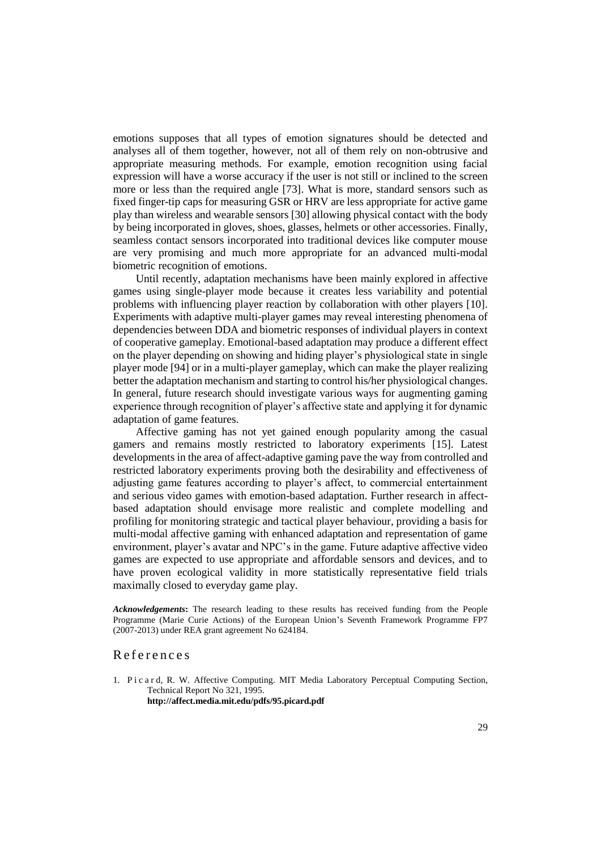emotions supposes that all types of emotion signatures should be detected and analyses all of them together, however, not all of them rely on non-obtrusive and appropriate measuring methods. For example, emotion recognition using facial expression will have a worse accuracy if the user is not still or inclined to the screen more or less than the required angle [73]. What is more, standard sensors such as fixed finger-tip caps for measuring GSR or HRV are less appropriate for active game play than wireless and wearable sensors [30] allowing physical contact with the body by being incorporated in gloves, shoes, glasses, helmets or other accessories. Finally, seamless contact sensors incorporated into traditional devices like computer mouse are very promising and much more appropriate for an advanced multi-modal biometric recognition of emotions.

Until recently, adaptation mechanisms have been mainly explored in affective games using single-player mode because it creates less variability and potential problems with influencing player reaction by collaboration with other players [10]. Experiments with adaptive multi-player games may reveal interesting phenomena of dependencies between DDA and biometric responses of individual players in context of cooperative gameplay. Emotional-based adaptation may produce a different effect on the player depending on showing and hiding player's physiological state in single player mode [94] or in a multi-player gameplay, which can make the player realizing better the adaptation mechanism and starting to control his/her physiological changes. In general, future research should investigate various ways for augmenting gaming experience through recognition of player's affective state and applying it for dynamic adaptation of game features.

Affective gaming has not yet gained enough popularity among the casual gamers and remains mostly restricted to laboratory experiments [15]. Latest developments in the area of affect-adaptive gaming pave the way from controlled and restricted laboratory experiments proving both the desirability and effectiveness of adjusting game features according to player's affect, to commercial entertainment and serious video games with emotion-based adaptation. Further research in affectbased adaptation should envisage more realistic and complete modelling and profiling for monitoring strategic and tactical player behaviour, providing a basis for multi-modal affective gaming with enhanced adaptation and representation of game environment, player's avatar and NPC's in the game. Future adaptive affective video games are expected to use appropriate and affordable sensors and devices, and to have proven ecological validity in more statistically representative field trials maximally closed to everyday game play.

*Acknowledgements***:** The research leading to these results has received funding from the People Programme (Marie Curie Actions) of the European Union's Seventh Framework Programme FP7 (2007-2013) under REA grant agreement No 624184.

# R e f e r e n c e s

1. P i c a r d, R. W. Affective Computing. MIT Media Laboratory Perceptual Computing Section, Technical Report No 321, 1995. **http://affect.media.mit.edu/pdfs/95.picard.pdf**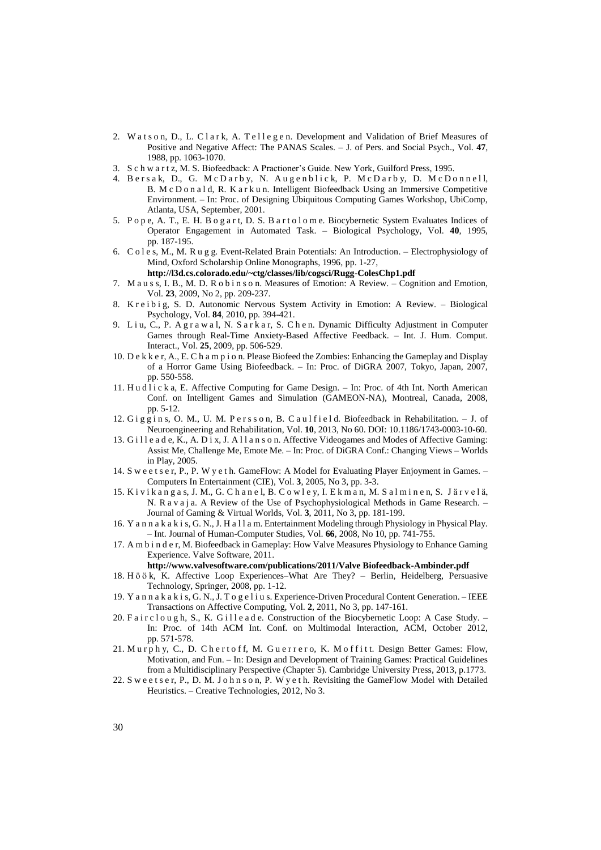- 2. Watson, D., L. Clark, A. Tellegen. Development and Validation of Brief Measures of Positive and Negative Affect: The PANAS Scales. – J. of Pers. and Social Psych., Vol. **47**, 1988, pp. 1063-1070.
- 3. S c h w a r t z, M. S. Biofeedback: A Practioner's Guide. New York, Guilford Press, 1995.
- 4. Bersak, D., G. McDarby, N. Augenblick, P. McDarby, D. McDonnell, B. M c D o n a l d, R. K a r k u n. Intelligent Biofeedback Using an Immersive Competitive Environment. – In: Proc. of Designing Ubiquitous Computing Games Workshop, UbiComp, Atlanta, USA, September, 2001.
- 5. P o p e, A. T., E. H. B o g a r t, D. S. B a r t o l o m e. Biocybernetic System Evaluates Indices of Operator Engagement in Automated Task. – Biological Psychology, Vol. **40**, 1995, pp. 187-195.
- 6. C o l e s, M., M. R u g g. Event-Related Brain Potentials: An Introduction. Electrophysiology of Mind, Oxford Scholarship Online Monographs, 1996, pp. 1-27,
- **http://l3d.cs.colorado.edu/~ctg/classes/lib/cogsci/Rugg-ColesChp1.pdf** 7. M a u s s, I. B., M. D. R o b i n s o n. Measures of Emotion: A Review. – Cognition and Emotion,
	- Vol. **23**, 2009, No 2, pp. 209-237.
- 8. K r e i b i g, S. D. Autonomic Nervous System Activity in Emotion: A Review. Biological Psychology, Vol. **84**, 2010, pp. 394-421.
- 9. Liu, C., P. Agrawal, N. Sarkar, S. Chen. Dynamic Difficulty Adjustment in Computer Games through Real-Time Anxiety-Based Affective Feedback. – Int. J. Hum. Comput. Interact., Vol. **25**, 2009, pp. 506-529.
- 10. D e k k e r, A., E. C h a m p i o n. Please Biofeed the Zombies: Enhancing the Gameplay and Display of a Horror Game Using Biofeedback. – In: Proc. of DiGRA 2007, Tokyo, Japan, 2007, pp. 550-558.
- 11. H u d l i c k a, E. Affective Computing for Game Design. In: Proc. of 4th Int. North American Conf. on Intelligent Games and Simulation (GAMEON-NA), Montreal, Canada, 2008, pp. 5-12.
- 12. G i g g i n s, O. M., U. M. P e r s s o n, B. C a u l f i e l d. Biofeedback in Rehabilitation. J. of Neuroengineering and Rehabilitation, Vol. **10**, 2013, No 60. DOI: 10.1186/1743-0003-10-60.
- 13. G i l l e a d e, K., A. D i x, J. A l l a n s o n. Affective Videogames and Modes of Affective Gaming: Assist Me, Challenge Me, Emote Me. – In: Proc. of DiGRA Conf.: Changing Views – Worlds in Play, 2005.
- 14. S w e e t s e r, P., P. W y e t h. GameFlow: A Model for Evaluating Player Enjoyment in Games. Computers In Entertainment (CIE), Vol. **3**, 2005, No 3, pp. 3-3.
- 15. K i v i k a n g a s, J. M., G. C h a n e l, B. C o w l e y, I. E k m a n, M. S a l m i n e n, S. J ä r v e l ä, N. R a v a j a. A Review of the Use of Psychophysiological Methods in Game Research. – Journal of Gaming & Virtual Worlds, Vol. **3**, 2011, No 3, pp. 181-199.
- 16. Y a n n a k a k i s, G. N., J. H a l l a m. Entertainment Modeling through Physiology in Physical Play. – Int. Journal of Human-Computer Studies, Vol. **66**, 2008, No 10, pp. 741-755.
- 17. A m b i n d e r, M. Biofeedback in Gameplay: How Valve Measures Physiology to Enhance Gaming Experience. Valve Software, 2011.
	- **http://www.valvesoftware.com/publications/2011/Valve Biofeedback-Ambinder.pdf**
- 18. H ö ö k, K. Affective Loop Experiences–What Are They? Berlin, Heidelberg, Persuasive Technology, Springer, 2008, pp. 1-12.
- 19. Y a n n a k a k i s, G. N., J. T o g e l i u s. Experience-Driven Procedural Content Generation. IEEE Transactions on Affective Computing, Vol. **2**, 2011, No 3, pp. 147-161.
- 20. Fairclough, S., K. Gilleade. Construction of the Biocybernetic Loop: A Case Study. In: Proc. of 14th ACM Int. Conf. on Multimodal Interaction, ACM, October 2012, pp. 571-578.
- 21. Murphy, C., D. Chertoff, M. Guerrero, K. Moffitt. Design Better Games: Flow, Motivation, and Fun. – In: Design and Development of Training Games: Practical Guidelines from a Multidisciplinary Perspective (Chapter 5). Cambridge University Press, 2013, p.1773.
- 22. S w e e t s e r, P., D. M. J o h n s o n, P. W y e t h. Revisiting the GameFlow Model with Detailed Heuristics. – Creative Technologies, 2012, No 3.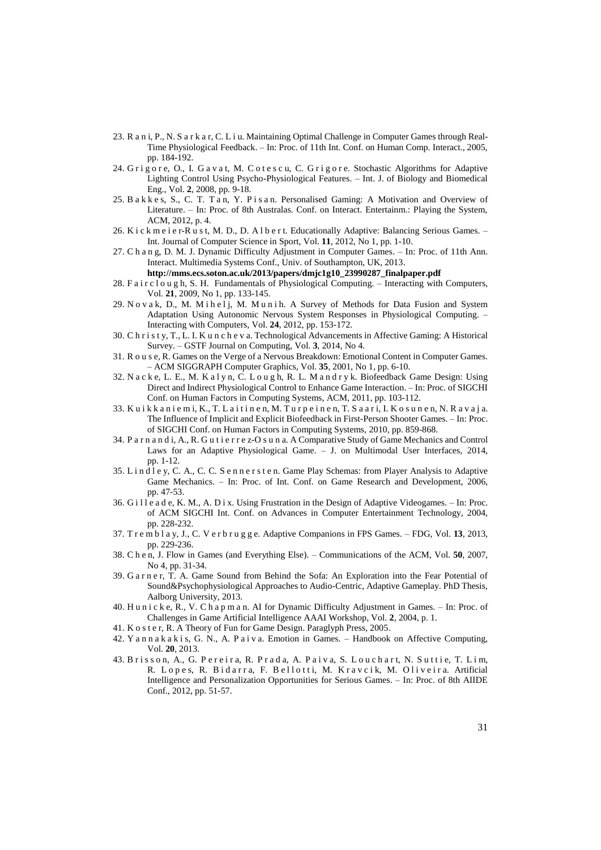- 23. R a n i, P., N. S a r k a r, C. L i u. Maintaining Optimal Challenge in Computer Games through Real-Time Physiological Feedback. – In: Proc. of 11th Int. Conf. on Human Comp. Interact., 2005, pp. 184-192.
- 24. G r i g o r e, O., I. G a v a t, M. C o t e s c u, C. G r i gor e. Stochastic Algorithms for Adaptive Lighting Control Using Psycho-Physiological Features. – Int. J. of Biology and Biomedical Eng., Vol. **2**, 2008, pp. 9-18.
- 25. B a k k e s, S., C. T. T a n, Y. P i s a n. Personalised Gaming: A Motivation and Overview of Literature. – In: Proc. of 8th Australas. Conf. on Interact. Entertainm.: Playing the System, ACM, 2012, p. 4.
- 26. K i c k m e i e r-R u s t, M. D., D. A l b e r t. Educationally Adaptive: Balancing Serious Games. -Int. Journal of Computer Science in Sport, Vol. **11**, 2012, No 1, pp. 1-10.
- 27. C h a n g, D. M. J. Dynamic Difficulty Adjustment in Computer Games. In: Proc. of 11th Ann. Interact. Multimedia Systems Conf., Univ. of Southampton, UK, 2013.

**http://mms.ecs.soton.ac.uk/2013/papers/dmjc1g10\_23990287\_finalpaper.pdf**

- 28. F a i r c l o u g h, S. H. Fundamentals of Physiological Computing. Interacting with Computers, Vol. **21**, 2009, No 1, pp. 133-145.
- 29. N o v a k, D., M. M i h e l j, M. M u n i h. A Survey of Methods for Data Fusion and System Adaptation Using Autonomic Nervous System Responses in Physiological Computing. – Interacting with Computers, Vol. **24**, 2012, pp. 153-172.
- 30. C h r i s t y, T., L. I. K u n c h e v a. Technological Advancements in Affective Gaming: A Historical Survey. – GSTF Journal on Computing, Vol. **3**, 2014, No 4.
- 31. R o u s e, R. Games on the Verge of a Nervous Breakdown: Emotional Content in Computer Games. – ACM SIGGRAPH Computer Graphics, Vol. **35**, 2001, No 1, pp. 6-10.
- 32. N a c k e, L. E., M. K a l y n, C. L o u g h, R. L. M a n d r y k. Biofeedback Game Design: Using Direct and Indirect Physiological Control to Enhance Game Interaction. – In: Proc. of SIGCHI Conf. on Human Factors in Computing Systems, ACM, 2011, pp. 103-112.
- 33. Kuikkanie mi, K., T. Laitinen, M. Turpeinen, T. Saari, I. Kosunen, N. Ravaja. The Influence of Implicit and Explicit Biofeedback in First-Person Shooter Games. – In: Proc. of SIGCHI Conf. on Human Factors in Computing Systems, 2010, pp. 859-868.
- 34. P a r n a n d i, A., R. G u t i e r r e z-O s u n a. A Comparative Study of Game Mechanics and Control Laws for an Adaptive Physiological Game. – J. on Multimodal User Interfaces, 2014, pp. 1-12.
- 35. L i n d l e y, C. A., C. C. S e n n e r s t e n. Game Play Schemas: from Player Analysis to Adaptive Game Mechanics. – In: Proc. of Int. Conf. on Game Research and Development, 2006, pp. 47-53.
- 36. G i l l e a d e, K. M., A. D i x. Using Frustration in the Design of Adaptive Videogames. In: Proc. of ACM SIGCHI Int. Conf. on Advances in Computer Entertainment Technology, 2004, pp. 228-232.
- 37. T r e m b l a y, J., C. V e r b r u g g e. Adaptive Companions in FPS Games. FDG, Vol. **13**, 2013, pp. 229-236.
- 38. C h e n, J. Flow in Games (and Everything Else). Communications of the ACM, Vol. **50**, 2007, No 4, pp. 31-34.
- 39. G a r n e r, T. A. Game Sound from Behind the Sofa: An Exploration into the Fear Potential of Sound&Psychophysiological Approaches to Audio-Centric, Adaptive Gameplay. PhD Thesis, Aalborg University, 2013.
- 40. H u n i c k e, R., V. C h a p m a n. AI for Dynamic Difficulty Adjustment in Games. In: Proc. of Challenges in Game Artificial Intelligence AAAI Workshop, Vol. **2**, 2004, p. 1.
- 41. K o s t e r, R. A Theory of Fun for Game Design. Paraglyph Press, 2005.
- 42. Y a n n a k a k i s, G. N., A. P a i v a. Emotion in Games. Handbook on Affective Computing, Vol. **20**, 2013.
- 43. Brisson, A., G. Pereira, R. Prada, A. Paiva, S. Louchart, N. Suttie, T. Lim, R. Lopes, R. Bidarra, F. Bellotti, M. Kravcik, M. Oliveira. Artificial Intelligence and Personalization Opportunities for Serious Games. – In: Proc. of 8th AIIDE Conf., 2012, pp. 51-57.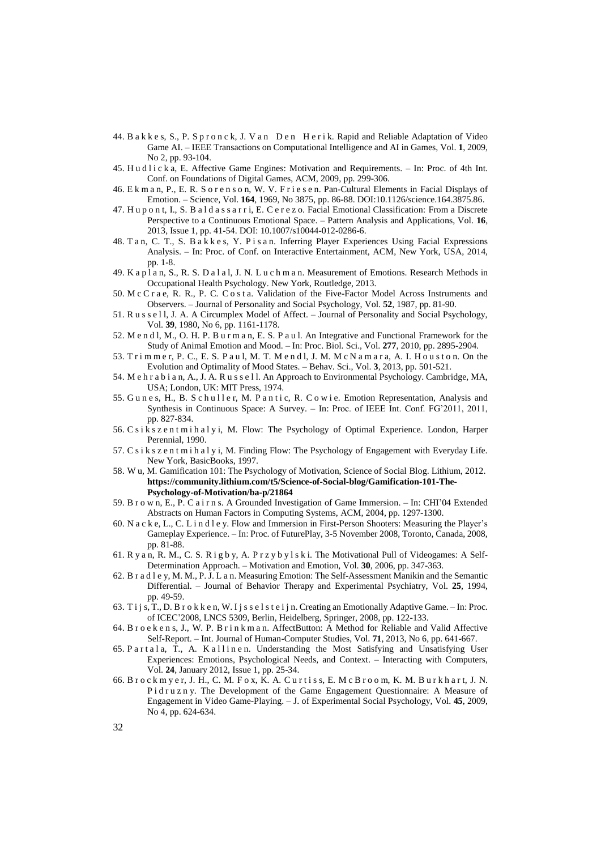- 44. B a k k e s, S., P. S p r o n c k, J. V a n D e n H e r i k. Rapid and Reliable Adaptation of Video Game AI. – IEEE Transactions on Computational Intelligence and AI in Games, Vol. **1**, 2009, No 2, pp. 93-104.
- 45. H u d l i c k a, E. Affective Game Engines: Motivation and Requirements. In: Proc. of 4th Int. Conf. on Foundations of Digital Games, ACM, 2009, pp. 299-306.
- 46. E k m a n, P., E. R. S o r e n s o n, W. V. F r i e s e n. Pan-Cultural Elements in Facial Displays of Emotion. – Science, Vol. **164**, 1969, No 3875, pp. 86-88. DOI:10.1126/science.164.3875.86.
- 47. H u p o n t, I., S. B a l d a s s a r r i, E. C e r e z o. Facial Emotional Classification: From a Discrete Perspective to a Continuous Emotional Space. – Pattern Analysis and Applications, Vol. **16**, 2013, Issue 1, pp. 41-54. DOI: 10.1007/s10044-012-0286-6.
- 48. T a n, C. T., S. B a k k e s, Y. P i s a n. Inferring Player Experiences Using Facial Expressions Analysis. – In: Proc. of Conf. on Interactive Entertainment, ACM, New York, USA, 2014, pp. 1-8.
- 49. K a p l a n, S., R. S. D a l a l, J. N. L u c h m a n. Measurement of Emotions. Research Methods in Occupational Health Psychology. New York, Routledge, 2013.
- 50. M c C r a e, R. R., P. C. C o s t a. Validation of the Five-Factor Model Across Instruments and Observers. – Journal of Personality and Social Psychology, Vol. **52**, 1987, pp. 81-90.
- 51. R u s s e l l, J. A. A Circumplex Model of Affect. Journal of Personality and Social Psychology, Vol. **39**, 1980, No 6, pp. 1161-1178.
- 52. M e n d l, M., O. H. P. B u r m a n, E. S. P a u l. An Integrative and Functional Framework for the Study of Animal Emotion and Mood. – In: Proc. Biol. Sci., Vol. **277**, 2010, pp. 2895-2904.
- 53. T r i m m e r, P. C., E. S. P a u l, M. T. M e n d l, J. M. M c N a m a r a, A. I. H o u s t o n. On the Evolution and Optimality of Mood States. – Behav. Sci., Vol. **3**, 2013, pp. 501-521.
- 54. M e h r a b i a n, A., J. A. R u s s e l l. An Approach to Environmental Psychology. Cambridge, MA, USA; London, UK: MIT Press, 1974.
- 55. G u n e s, H., B. S c h u l l e r, M. P a n t i c, R. C o w i e. Emotion Representation, Analysis and Synthesis in Continuous Space: A Survey. – In: Proc. of IEEE Int. Conf. FG'2011, 2011, pp. 827-834.
- 56. C s i k s z e n t m i h a l y i, M. Flow: The Psychology of Optimal Experience. London, Harper Perennial, 1990.
- 57. C s i k s z e n t m i h a l y i, M. Finding Flow: The Psychology of Engagement with Everyday Life. New York, BasicBooks, 1997.
- 58. W u, M. Gamification 101: The Psychology of Motivation, Science of Social Blog. Lithium, 2012. **https://community.lithium.com/t5/Science-of-Social-blog/Gamification-101-The-Psychology-of-Motivation/ba-p/21864**
- 59. B r o w n, E., P. C a i r n s. A Grounded Investigation of Game Immersion. In: CHI'04 Extended Abstracts on Human Factors in Computing Systems, ACM, 2004, pp. 1297-1300.
- 60. N a c k e, L., C. L i n d l e y. Flow and Immersion in First-Person Shooters: Measuring the Player's Gameplay Experience. – In: Proc. of FuturePlay, 3-5 November 2008, Toronto, Canada, 2008, pp. 81-88.
- 61. R y a n, R. M., C. S. R i g b y, A. P r z y b y l s k i. The Motivational Pull of Videogames: A Self-Determination Approach. – Motivation and Emotion, Vol. **30**, 2006, pp. 347-363.
- 62. B r a d l e y, M. M., P. J. L a n. Measuring Emotion: The Self-Assessment Manikin and the Semantic Differential. – Journal of Behavior Therapy and Experimental Psychiatry, Vol. **25**, 1994, pp. 49-59.
- 63. T i j s, T., D. B r o k k e n, W. I j s s e l s t e i j n. Creating an Emotionally Adaptive Game. In: Proc. of ICEC'2008, LNCS 5309, Berlin, Heidelberg, Springer, 2008, pp. 122-133.
- 64. B r o e k e n s, J., W. P. B r i n k m a n. AffectButton: A Method for Reliable and Valid Affective Self-Report. – Int. Journal of Human-Computer Studies, Vol. **71**, 2013, No 6, pp. 641-667.
- 65. Partala, T., A. Kallinen. Understanding the Most Satisfying and Unsatisfying User Experiences: Emotions, Psychological Needs, and Context. – Interacting with Computers, Vol. **24**, January 2012, Issue 1, pp. 25-34.
- 66. B r o c k m y e r, J. H., C. M. F o x, K. A. C u r t i s s, E. M c B r o o m, K. M. B u r k h a r t, J. N. P i d r u z n y. The Development of the Game Engagement Questionnaire: A Measure of Engagement in Video Game-Playing. – J. of Experimental Social Psychology, Vol. **45**, 2009, No 4, pp. 624-634.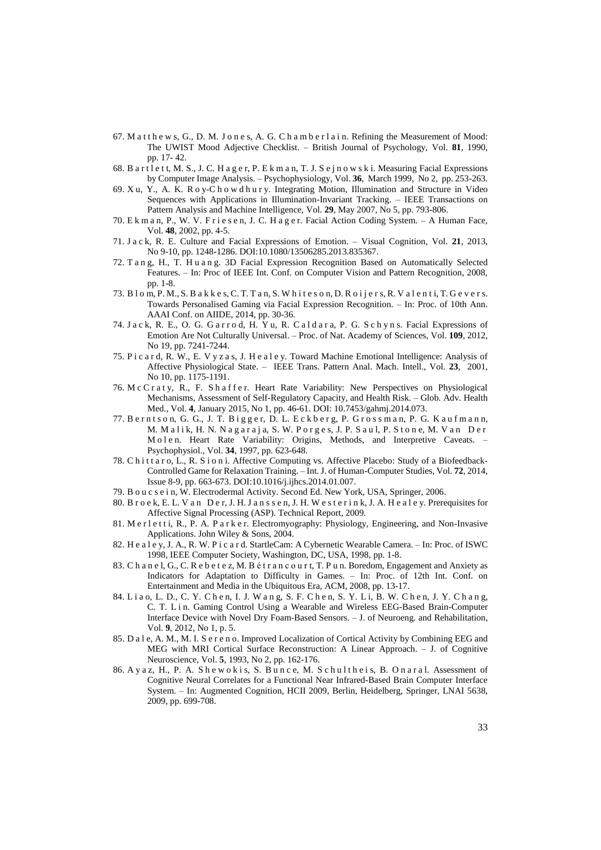- 67. M a t t h e w s, G., D. M. J o n e s, A. G. C h a m b e r l a i n. Refining the Measurement of Mood: The UWIST Mood Adjective Checklist. – British Journal of Psychology, Vol. **81**, 1990, pp. 17- 42.
- 68. B a r t l e t t, M. S., J. C. H a g e r, P. E k m a n, T. J. S e j n o w s k i. Measuring Facial Expressions by Computer Image Analysis. – Psychophysiology, Vol. **36**, March 1999, No 2, pp. 253-263.
- 69. X u, Y., A. K. R o y-C h o w d h u r y. Integrating Motion, Illumination and Structure in Video Sequences with Applications in Illumination-Invariant Tracking. – IEEE Transactions on Pattern Analysis and Machine Intelligence, Vol. **29**, May 2007, No 5, pp. 793-806.
- 70. E k m a n, P., W. V. F r i e s e n, J. C. H a g e r. Facial Action Coding System. A Human Face, Vol. **48**, 2002, pp. 4-5.
- 71. J a c k, R. E. Culture and Facial Expressions of Emotion. Visual Cognition, Vol. **21**, 2013, No 9-10, pp. 1248-1286. DOI:10.1080/13506285.2013.835367.
- 72. T a n g, H., T. H u a n g. 3D Facial Expression Recognition Based on Automatically Selected Features. – In: Proc of IEEE Int. Conf. on Computer Vision and Pattern Recognition, 2008, pp. 1-8.
- 73. B l o m, P. M., S. B a k k e s, C. T. T a n, S. W h i t e s o n, D. R o i j e r s, R. V a l e n t i, T. G e v e r s. Towards Personalised Gaming via Facial Expression Recognition. – In: Proc. of 10th Ann. AAAI Conf. on AIIDE, 2014, pp. 30-36.
- 74. J a c k, R. E., O. G. G a r r o d, H. Y u, R. C a l d a r a, P. G. S c h y n s. Facial Expressions of Emotion Are Not Culturally Universal. – Proc. of Nat. Academy of Sciences, Vol. **109**, 2012, No 19, pp. 7241-7244.
- 75. P i c a r d, R. W., E. V y z a s, J. H e a l e y. Toward Machine Emotional Intelligence: Analysis of Affective Physiological State. – IEEE Trans. Pattern Anal. Mach. Intell., Vol. **23**, 2001, No 10, pp. 1175-1191.
- 76. M c C r at y, R., F. S h a f f e r. Heart Rate Variability: New Perspectives on Physiological Mechanisms, Assessment of Self-Regulatory Capacity, and Health Risk. – Glob. Adv. Health Med., Vol. **4**, January 2015, No 1, pp. 46-61. DOI: 10.7453/gahmj.2014.073.
- 77. Berntson, G. G., J. T. Bigger, D. L. Eckberg, P. Grossman, P. G. Kaufmann, M. Malik, H. N. Nagaraja, S. W. Porges, J. P. Saul, P. Stone, M. Van Der M o l e n. Heart Rate Variability: Origins, Methods, and Interpretive Caveats. -Psychophysiol., Vol. **34**, 1997, pp. 623-648.
- 78. C h i t t a r o, L., R. S i o n i. Affective Computing vs. Affective Placebo: Study of a Biofeedback-Controlled Game for Relaxation Training. – Int. J. of Human-Computer Studies, Vol. **72**, 2014, Issue 8-9, pp. 663-673. DOI:10.1016/j.ijhcs.2014.01.007.
- 79. B o u c s e i n, W. Electrodermal Activity. Second Ed. New York, USA, Springer, 2006.
- 80. B r o e k, E. L. V an D e r, J. H. J anss e n, J. H. W e sterink, J. A. H e aley. Prerequisites for Affective Signal Processing (ASP). Technical Report, 2009.
- 81. M e r l e t t i, R., P. A. P a r k e r. Electromyography: Physiology, Engineering, and Non-Invasive Applications. John Wiley & Sons, 2004.
- 82. H e a l e y, J. A., R. W. P i c a r d. StartleCam: A Cybernetic Wearable Camera. In: Proc. of ISWC 1998, IEEE Computer Society, Washington, DC, USA, 1998, pp. 1-8.
- 83. C h a n e l, G., C. R e b e t e z, M. B é t r a n c o u r t, T. P u n. Boredom, Engagement and Anxiety as Indicators for Adaptation to Difficulty in Games. – In: Proc. of 12th Int. Conf. on Entertainment and Media in the Ubiquitous Era, ACM, 2008, pp. 13-17.
- 84. Liao, L. D., C. Y. Chen, I. J. Wang, S. F. Chen, S. Y. Li, B. W. Chen, J. Y. Chang, C. T. L i n. Gaming Control Using a Wearable and Wireless EEG-Based Brain-Computer Interface Device with Novel Dry Foam-Based Sensors. – J. of Neuroeng. and Rehabilitation, Vol. **9**, 2012, No 1, p. 5.
- 85. D a l e, A. M., M. I. S e r e n o. Improved Localization of Cortical Activity by Combining EEG and MEG with MRI Cortical Surface Reconstruction: A Linear Approach. – J. of Cognitive Neuroscience, Vol. **5**, 1993, No 2, pp. 162-176.
- 86. A y a z, H., P. A. Shewokis, S. Bunce, M. Schultheis, B. Onaral. Assessment of Cognitive Neural Correlates for a Functional Near Infrared-Based Brain Computer Interface System. – In: Augmented Cognition, HCII 2009, Berlin, Heidelberg, Springer, LNAI 5638, 2009, pp. 699-708.